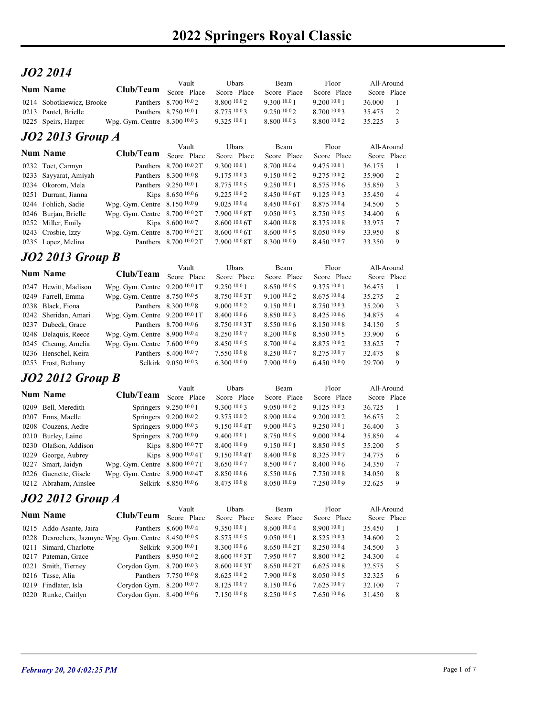## JO2 2014

|                                      |                              |                                       |                             | <b>2022 Springers Royal Classic</b> |                             |                                   |  |  |
|--------------------------------------|------------------------------|---------------------------------------|-----------------------------|-------------------------------------|-----------------------------|-----------------------------------|--|--|
|                                      |                              |                                       |                             |                                     |                             |                                   |  |  |
| JO2 2014                             |                              |                                       |                             |                                     |                             |                                   |  |  |
| <b>Num Name</b>                      | Club/Team                    | Vault                                 | Ubars                       | Beam                                | Floor                       | All-Around                        |  |  |
| 0214 Sobotkiewicz, Brooke            |                              | Score Place<br>Panthers 8.700 10.02   | Score Place<br>8.800 10.0 2 | Score Place<br>9.300 10.0 1         | Score Place<br>9.200 10.0 1 | Score Place<br>36.000             |  |  |
| 0213 Pantel, Brielle                 |                              | Panthers 8.750 10.0 1                 | 8.775 10.03                 | 9.250 10.02                         | 8.700 10.03                 | $\overline{c}$<br>35.475          |  |  |
| 0225 Speirs, Harper                  | Wpg. Gym. Centre 8.300 10.03 |                                       | 9.325 10.0 1                | 8.800 10.03                         | 8.800 10.02                 | 35.225<br>$\overline{\mathbf{3}}$ |  |  |
|                                      |                              |                                       |                             |                                     |                             |                                   |  |  |
| <b>JO2 2013 Group A</b>              |                              | Vault                                 | Ubars                       | Beam                                | Floor                       | All-Around                        |  |  |
| <b>Num Name</b><br>0232 Toet, Carmyn | Club/Team                    | Score Place<br>Panthers 8.700 10.0 2T | Score Place<br>9.300 10.0 1 | Score Place<br>8.700 10.04          | Score Place<br>9.475 10.0 1 | Score Place<br>36.175<br>-1       |  |  |

|                           |                                |                        |                      |                     | <b>2022 Springers Royal Classic</b> |                           |                          |
|---------------------------|--------------------------------|------------------------|----------------------|---------------------|-------------------------------------|---------------------------|--------------------------|
| JO2 2014                  |                                |                        |                      |                     |                                     |                           |                          |
| <b>Num Name</b>           | <b>Club/Team</b>               | Vault<br>Score Place   | Ubars<br>Score Place | Beam<br>Score Place | Floor<br>Score Place                | All-Around<br>Score Place |                          |
| 0214 Sobotkiewicz, Brooke |                                | Panthers 8.700 10.02   | 8.800 10.02          | 9.300 10.0 1        | 9.200 10.0 1                        | 36.000                    |                          |
| 0213 Pantel, Brielle      |                                | Panthers 8.750 10.0 1  | 8.775 10.03          | 9.250 10.02         | 8.700 10.03                         | 35.475                    | 2                        |
| 0225 Speirs, Harper       | Wpg. Gym. Centre 8.300 10.03   |                        | 9.325 10.0 1         | 8.800 10.03         | 8.80010.02                          | 35.225                    | $\overline{\mathbf{3}}$  |
|                           |                                |                        |                      |                     |                                     |                           |                          |
| <b>JO2 2013 Group A</b>   |                                | Vault                  | Ubars                | Beam                | Floor                               | All-Around                |                          |
| <b>Num Name</b>           | Club/Team                      | Score Place            | Score Place          | Score Place         | Score Place                         | Score Place               |                          |
| 0232 Toet, Carmyn         |                                | Panthers 8.700 10.0 2T | 9.300 10.0 1         | 8.700 10.04         | 9.475 10.0 1                        | 36.175                    | -1                       |
| 0233 Sayyarat, Amiyah     |                                | Panthers 8.300 10.0 8  | 9.175 10.03          | 9.150 10.02         | 9.275 10.02                         | 35.900                    | 2                        |
| 0234 Okorom, Mela         |                                | Panthers 9.250 10.0 1  | 8.775 10.0 5         | 9.250 10.0 1        | 8.575 10.06                         | 35.850                    | 3                        |
| 0251 Durrant, Jianna      |                                | Kips 8.650 10.06       | 9.225 10.02          | 8.450 10.0 6T       | 9.125 10.03                         | 35.450                    | $\overline{4}$           |
| 0244 Fohlich, Sadie       | Wpg. Gym. Centre 8.150 10.09   |                        | 9.025 10.04          | $8.450\ 10.06$ T    | 8.875 10.04                         | 34.500                    | 5                        |
| 0246 Burjan, Brielle      | Wpg. Gym. Centre 8.700 10.0 2T |                        | 7.900 10.0 8T        | 9.0501003           | 8.750 10.05                         | 34.400                    | 6                        |
| 0252 Miller, Emily        |                                | Kips 8.600 10.07       | 8.6001006            | 8.400 10.08         | 8.375 10.08                         | 33.975                    | 7                        |
| 0243 Crosbie, Izzy        | Wpg. Gym. Centre 8.700 10.0 2T |                        | 8.600 10.0 6T        | 8.600 10.0 5        | 8.050 10.09                         | 33.950                    | 8                        |
| 0235 Lopez, Melina        |                                | Panthers 8.700 10.0 2T | 7.900 10.0 8T        | 8.300 10.09         | 8.450 10.07                         | 33.350                    | 9                        |
| <b>JO2 2013 Group B</b>   |                                |                        |                      |                     |                                     |                           |                          |
|                           |                                | Vault                  | Ubars                | Beam                | Floor                               | All-Around                |                          |
| <b>Num Name</b>           | Club/Team                      | Score Place            | Score Place          | Score Place         | Score Place                         | Score Place               |                          |
| 0247 Hewitt, Madison      | Wpg. Gym. Centre 9.200 10.0 1T |                        | 9.250 10.0 1         | 8.650 10.0 5        | 9.375 10.0 1                        | 36.475                    | -1                       |
| 0249 Farrell, Emma        | Wpg. Gym. Centre 8.750 10.05   |                        | 8.750 10.0 3T        | 9.100 10.02         | 8.675 10.04                         | 35.275                    | $\overline{c}$           |
| 0238 Black, Fiona         |                                | Panthers 8.300 10.0 8  | 9.000 10.0 2         | 9.150 10.0 1        | 8.750 10.03                         | 35.200                    | 3                        |
| 0242 Sheridan, Amari      | Wpg. Gym. Centre 9.200 10.0 1T |                        | 8.40010.06           | 8.850 10.03         | 8.425 10.06                         | 34.875                    | $\overline{4}$           |
| 0237 Dubeck, Grace        |                                | Panthers 8.700 10.0 6  | 8.750 10.0 3T        | 8.550 10.06         | 8.150 10.08                         | 34.150                    | -5                       |
| 0248 Delaquis, Reece      | Wpg. Gym. Centre 8.900 10.04   |                        | 8.250 10.07          | 8.200 10.0 8        | 8.550 10.05                         | 33.900                    | 6                        |
| 0245 Cheung, Amelia       | Wpg. Gym. Centre 7.600 10.09   |                        | 8.450 10.0 5         | 8.700 10.04         | 8.875 10.02                         | 33.625                    | 7                        |
| 0236 Henschel, Keira      |                                | Panthers 8.400 10.07   | 7.550 10.0 8         | 8.250 10.07         | 8.275 10.07                         | 32.475                    | 8                        |
| 0253 Frost, Bethany       |                                | Selkirk 9.050 10.03    | 6.300 10.09          | 7.900 10.09         | 6.450 10.09                         | 29.700                    | 9                        |
| <b>JO2 2012 Group B</b>   |                                |                        |                      |                     |                                     |                           |                          |
|                           |                                | Vault                  | Ubars                | Beam                | Floor                               | All-Around                |                          |
| <b>Num Name</b>           | Club/Team                      | Score Place            | Score Place          | Score Place         | Score Place                         | Score Place               |                          |
| 0209 Bell, Meredith       |                                | Springers 9.250 10.0 1 | 9.300 10.03          | 9.050 10.02         | 9.125 10.03                         | 36.725                    | $\overline{\phantom{0}}$ |
| 0207 Enns, Maelle         |                                | Springers 9.200 10.02  | 9.375 10.02          | 8.900 10.04         | 9.200 10.02                         | 36.675 2                  |                          |

#### JO2 2013 Group B

| Num Name                                              | Clud/Team                      | Score Place            | Score Place              | Score Place    | Score Place  | Score Place |                |
|-------------------------------------------------------|--------------------------------|------------------------|--------------------------|----------------|--------------|-------------|----------------|
| 0232 Toet, Carmyn                                     |                                | Panthers 8.700 10.0 2T | 9.300 10.0 1             | 8.700 10.04    | 9.475 10.01  | 36.175      |                |
| 0233 Sayyarat, Amiyah                                 |                                | Panthers 8.300 10.0 8  | 9.175 10.03              | 9.150 10.02    | 9.275 10.02  | 35.900      | $\overline{2}$ |
| 0234 Okorom, Mela                                     |                                | Panthers 9.250 10.0 1  | 8.775 10.0 5             | 9.250 10.01    | 8.575 10.06  | 35.850      | 3              |
| 0251 Durrant, Jianna                                  |                                | Kips 8.650 10.06       | 9.225 10.02              | 8.450 10.0 6T  | 9.125 10.03  | 35.450      | $\overline{4}$ |
| 0244 Fohlich, Sadie                                   | Wpg. Gym. Centre 8.150 10.09   |                        | 9.025 10.04              | 8.450 10.0 6T  | 8.875 10.04  | 34.500      | 5              |
| 0246 Burjan, Brielle                                  | Wpg. Gym. Centre 8.700 10.0 2T |                        | 7.900 10.0 8T            | 9.050 10.03    | 8.750 10.05  | 34.400      | 6              |
| 0252 Miller, Emily                                    |                                | Kips 8.600 10.07       | 8.60010.06               | 8.400 10.08    | 8.375 10.08  | 33.975      | 7              |
| 0243 Crosbie, Izzy                                    | Wpg. Gym. Centre 8.700 10.0 2T |                        | 8.600 10.0 6T            | 8.600 10.0 5   | 8.050 10.09  | 33.950      | 8              |
| 0235 Lopez, Melina                                    |                                | Panthers 8.700 10.0 2T | 7.900 10.0 8T            | 8.300 10.09    | 8.450 10.07  | 33.350      | 9              |
| <b>JO2 2013 Group B</b>                               |                                |                        |                          |                |              |             |                |
|                                                       |                                | Vault                  | Ubars                    | Beam           | Floor        | All-Around  |                |
| <b>Num Name</b>                                       | Club/Team                      | Score Place            | Score Place              | Score Place    | Score Place  | Score Place |                |
| 0247 Hewitt, Madison                                  | Wpg. Gym. Centre 9.200 10.0 1T |                        | 9.250 10.0 1             | 8.650 10.05    | 9.375 10.01  | 36.475      |                |
| 0249 Farrell, Emma                                    | Wpg. Gym. Centre 8.750 10.05   |                        | 8.750 10.0 3T            | 9.100 10.02    | 8.675 10.04  | 35.275      | 2              |
| 0238 Black, Fiona                                     |                                | Panthers 8.300 10.0 8  | 9.000 10.0 2             | 9.150 10.0 1   | 8.750 10.03  | 35.200      | 3              |
| 0242 Sheridan, Amari                                  | Wpg. Gym. Centre 9.200 10.0 1T |                        | 8.400 10.0 6             | 8.850 10.03    | 8.425 10.06  | 34.875      | $\overline{4}$ |
| 0237 Dubeck, Grace                                    |                                | Panthers 8.700 10.0 6  | 8.750 10.0 3T            | 8.550 10.06    | 8.150 10.08  | 34.150      | 5              |
| 0248 Delaquis, Reece                                  | Wpg. Gym. Centre 8.900 10.04   |                        | 8.250 10.07              | 8.200 10.0 8   | 8.550 10.05  | 33.900      | 6              |
| 0245 Cheung, Amelia                                   | Wpg. Gym. Centre 7.600 10.09   |                        | 8.450 10.0 5             | 8.700 10.04    | 8.875 10.02  | 33.625      | 7              |
| 0236 Henschel, Keira                                  |                                | Panthers 8.400 10.07   | 7.550 10.0 8             | 8.250 10.07    | 8.275 10.07  | 32.475      | 8              |
| 0253 Frost, Bethany                                   |                                | Selkirk 9.050 10.03    | 6.30010.09               | 7.900 10.09    | 6.450 10.09  | 29.700      | 9              |
| <b>JO2 2012 Group B</b>                               |                                |                        |                          |                |              |             |                |
|                                                       |                                | Vault                  | Ubars                    | Beam           | Floor        | All-Around  |                |
| <b>Num Name</b>                                       | Club/Team                      | Score Place            | Score Place              | Score Place    | Score Place  | Score Place |                |
| 0209 Bell, Meredith                                   |                                | Springers 9.250 10.0 1 | 9.300 10.0 3             | 9.050 10.02    | 9.125 10.03  | 36.725      | - 1            |
| 0207 Enns, Maelle                                     |                                | Springers 9.200 10.02  | 9.375 10.02              | 8.900 10.04    | 9.200 10.0 2 | 36.675      | 2              |
| 0208 Couzens, Aedre                                   |                                | Springers 9.000 10.03  | 9.150 <sup>10.0</sup> 4T | 9.000 10.03    | 9.250 10.0 1 | 36.400      | 3              |
| 0210 Burley, Laine                                    |                                | Springers 8.700 10.09  | $9.400\,10.01$           | 8.750 10.0 5   | 9.0001004    | 35.850      | $\overline{4}$ |
| 0230 Olafson, Addison                                 |                                | Kips 8.800 10.0 7T     | 8.400 10.09              | 9.150 10.0 1   | 8.850 10.05  | 35.200      | 5              |
| 0229 George, Aubrey                                   |                                | Kips 8.900 10.0 4T     | $9.150\,10.04$ T         | 8.400 10.0 8   | 8.325 10.07  | 34.775      | 6              |
| 0227 Smart, Jaidyn                                    | Wpg. Gym. Centre 8.800 10.0 7T |                        | 8.650 10.07              | 8.500 10.07    | 8.400 10.06  | 34.350      | 7              |
| 0226 Guenette, Gisele                                 | Wpg. Gym. Centre 8.900 10.0 4T |                        | $8.850\,10.06$           | $8.550\,10.06$ | 7.750 10.08  | 34.050      | 8              |
| 0212 Abraham, Ainslee                                 |                                | Selkirk 8.850 10.0 6   | 8.475 10.0 8             | 8.050 10.09    | 7.250 10.09  | 32.625      | 9              |
| $JO2$ 2012 Group A                                    |                                |                        |                          |                |              |             |                |
|                                                       |                                | Vault                  | Ubars                    | Beam           | Floor        | All-Around  |                |
| <b>Num Name</b>                                       | Club/Team                      | Score Place            | Score Place              | Score Place    | Score Place  | Score Place |                |
| 0215 Addo-Asante, Jaira                               |                                | Panthers 8.600 10.0 4  | 9.350 10.0 1             | 8.600 10.04    | 8.900 10.0 1 | 35.450      |                |
| 0228 Desrochers, Jazmyne Wpg. Gym. Centre 8.450 10.05 |                                |                        | 8.575 10.0 5             | 9.050 10.0 1   | 8.525 10.03  | 34.600      | 2              |
|                                                       |                                |                        |                          |                |              |             |                |

## JO2 2012 Group B

| Num Name                                              | Clud/Team                      | Score Place                       | Score Place              | Score Place    | Score Place    | Score Place |                |  |
|-------------------------------------------------------|--------------------------------|-----------------------------------|--------------------------|----------------|----------------|-------------|----------------|--|
| 0247 Hewitt, Madison                                  | Wpg. Gym. Centre 9.200 10.0 1T |                                   | 9.250 10.0 1             | 8.650 10.05    | 9.375 10.01    | 36.475      |                |  |
| 0249 Farrell, Emma                                    | Wpg. Gym. Centre 8.750 10.0 5  |                                   | 8.750 10.0 3T            | 9.100 10.02    | 8.675 10.04    | 35.275      | 2              |  |
| 0238 Black, Fiona                                     |                                | Panthers 8.300 10.0 8             | 9.000 10.0 2             | 9.150 10.01    | 8.750 10.03    | 35.200      | 3              |  |
| 0242 Sheridan, Amari                                  | Wpg. Gym. Centre 9.200 10.0 1T |                                   | 8.400 10.0 6             | 8.850 10.03    | 8.425 10.0 6   | 34.875      | $\overline{4}$ |  |
| 0237 Dubeck, Grace                                    |                                | Panthers 8.700 10.0 6             | 8.750 10.0 3T            | 8.550 10.06    | 8.150 10.08    | 34.150      | 5              |  |
| 0248 Delaquis, Reece                                  | Wpg. Gym. Centre 8.900 10.04   |                                   | 8.250 10.07              | 8.200 10.08    | 8.550 10.05    | 33.900      | 6              |  |
| 0245 Cheung, Amelia                                   | Wpg. Gym. Centre 7.600 10.09   |                                   | 8.450 10.0 5             | 8.700 10.04    | 8.875 10.02    | 33.625      | 7              |  |
| 0236 Henschel, Keira                                  |                                | Panthers 8.400 10.07              | 7.550 10.08              | 8.250 10.07    | 8.275 10.07    | 32.475      | 8              |  |
| 0253 Frost, Bethany                                   |                                | Selkirk 9.050 10.03               | 6.300 10.09              | 7.900 10.09    | 6.450 10.09    | 29.700      | 9              |  |
| <b>JO2 2012 Group B</b>                               |                                |                                   |                          |                |                |             |                |  |
|                                                       |                                | Vault                             | Ubars                    | Beam           | Floor          | All-Around  |                |  |
| <b>Num Name</b>                                       | Club/Team                      | Score Place                       | Score Place              | Score Place    | Score Place    | Score Place |                |  |
| 0209 Bell, Meredith                                   |                                | Springers 9.250 10.0 1            | 9.300 10.03              | 9.050 10.02    | 9.125 10.03    | 36.725      |                |  |
| 0207 Enns, Maelle                                     |                                | Springers 9.200 10.02             | 9.375 10.02              | 8.900 10.04    | 9.200 10.02    | 36.675      | 2              |  |
| 0208 Couzens, Aedre                                   |                                | Springers 9.000 10.03             | 9.150 10.0 4T            | 9.000 10.03    | 9.250 10.0 1   | 36.400      | 3              |  |
| 0210 Burley, Laine                                    |                                | Springers 8.700 <sup>10.0</sup> 9 | 9.400 10.0 1             | 8.750 10.05    | 9.0001004      | 35.850      | $\overline{4}$ |  |
| 0230 Olafson, Addison                                 |                                | Kips 8.800 10.0 7T                | 8.400 10.09              | 9.150 10.0 1   | 8.850 10.05    | 35.200      | 5              |  |
| 0229 George, Aubrey                                   |                                | Kips 8.900 10.0 4T                | 9.150 <sup>10.0</sup> 4T | 8.400 10.0 8   | 8.325 10.07    | 34.775      | 6              |  |
| 0227 Smart, Jaidyn                                    | Wpg. Gym. Centre 8.800 10.0 7T |                                   | 8.650 10.07              | 8.500 10.07    | 8.40010.06     | 34.350      | 7              |  |
| 0226 Guenette, Gisele                                 | Wpg. Gym. Centre 8.900 10.0 4T |                                   | 8.85010.06               | $8.550\ 10.06$ | $7.750\ 10.08$ | 34.050      | 8              |  |
| 0212 Abraham, Ainslee                                 |                                | Selkirk 8.850 10.06               | 8.475 10.0 8             | 8.050 10.09    | 7.250 10.09    | 32.625      | 9              |  |
| <b>JO2 2012 Group A</b>                               |                                |                                   |                          |                |                |             |                |  |
|                                                       |                                | Vault                             | Ubars                    | Beam           | Floor          | All-Around  |                |  |
| <b>Num Name</b>                                       | Club/Team                      | Score Place                       | Score Place              | Score Place    | Score Place    | Score Place |                |  |
| 0215 Addo-Asante, Jaira                               |                                | Panthers 8.600 10.0 4             | 9.350 10.0 1             | 8.600 10.04    | 8.900 10.0 1   | 35.450      |                |  |
| 0228 Desrochers, Jazmyne Wpg. Gym. Centre 8.450 10.05 |                                |                                   | 8.575 10.0 5             | 9.050 10.01    | 8.525 10.03    | 34.600      | $\overline{c}$ |  |
| 0211 Simard, Charlotte                                |                                | Selkirk 9.300 10.0 1              | 8.30010.06               | 8.650 10.0 2T  | 8.250 10.04    | 34.500      | 3              |  |
| 0217 Pateman, Grace                                   |                                | Panthers 8.950 10.02              | 8.600 10.0 3T            | 7.950 10.07    | 8.800 10.02    | 34.300      | $\overline{4}$ |  |
| 0221 Smith, Tierney                                   | Corydon Gym. 8.700 10.03       |                                   | 8.600 10.0 3T            | 8.650 10.0 2T  | 6.62510.08     | 32.575      | 5              |  |
| 0216 Tasse, Alia                                      |                                | Panthers 7.750 10.0 8             | 8.625 10.02              | 7.900 10.08    | 8.05010005     | 32.325      | 6              |  |
| 0219 Findlater, Isla                                  | Corydon Gym. 8.200 10.07       |                                   | 8.125 10.07              | 8.150 10.06    | 7.625 10.07    | 32.100      | $\tau$         |  |
| 0220 Runke, Caitlyn                                   | Corydon Gym. 8.400 10.0 6      |                                   | 7.150 10.0 8             | 8.250 10.05    | 7.650 10.06    | 31.450      | 8              |  |
|                                                       |                                |                                   |                          |                |                |             |                |  |
|                                                       |                                |                                   |                          |                |                |             |                |  |
|                                                       |                                |                                   |                          |                |                |             |                |  |
|                                                       |                                |                                   |                          |                |                |             |                |  |
|                                                       |                                |                                   |                          |                |                |             |                |  |
|                                                       |                                |                                   |                          |                |                |             |                |  |

# JO2 2012 Group A

|      | 0210 Burley, Laine                                    |                                | Springers $8.700\,10.09$ | $9.400^{10.0}$ 1     | 8.750 $10.05$       | 9.0001004            | 35.850                    | 4 |             |  |
|------|-------------------------------------------------------|--------------------------------|--------------------------|----------------------|---------------------|----------------------|---------------------------|---|-------------|--|
|      | 0230 Olafson, Addison                                 |                                | Kips 8.800 10.0 7T       | 8.400 10.09          | 9.150 10.0 1        | 8.850 10.05          | 35.200                    | 5 |             |  |
|      | 0229 George, Aubrey                                   |                                | Kips 8.900 10.0 4T       | $9.150\,10.04$ T     | $8.400\,10.08$      | 8.325 10.07          | 34.775                    | 6 |             |  |
| 0227 | Smart, Jaidyn                                         | Wpg. Gym. Centre 8.800 10.0 7T |                          | 8.650 10.07          | 8.500 10.07         | 8.400 10.0 6         | 34.350                    | 7 |             |  |
|      | 0226 Guenette, Gisele                                 | Wpg. Gym. Centre 8.900 10.0 4T |                          | 8.850 10.0 6         | $8.550\ 10.06$      | 7.750 10.08          | 34.050                    | 8 |             |  |
|      | 0212 Abraham, Ainslee                                 |                                | Selkirk 8.850 10.06      | 8.475 10.0 8         | 8.050 10.09         | 7.250 10.09          | 32.625                    | 9 |             |  |
|      | JO2 2012 Group A                                      |                                |                          |                      |                     |                      |                           |   |             |  |
|      | <b>Num Name</b>                                       | Club/Team                      | Vault<br>Score Place     | Ubars<br>Score Place | Beam<br>Score Place | Floor<br>Score Place | All-Around<br>Score Place |   |             |  |
|      | 0215 Addo-Asante, Jaira                               | Panthers                       | 8.600 10.04              | 9.350 10.0 1         | 8.600 10.04         | 8.900 10.0 1         | 35.450                    | 1 |             |  |
|      | 0228 Desrochers, Jazmyne Wpg. Gym. Centre 8.450 10.05 |                                |                          | 8.575 10.0 5         | 9.0501001           | 8.525 10.03          | 34.600                    | 2 |             |  |
| 0211 | Simard, Charlotte                                     |                                | Selkirk 9.300 10.0 1     | 8.300 10.0 6         | 8.650 10.0 2T       | 8.250 10.04          | 34.500                    | 3 |             |  |
|      | 0217 Pateman, Grace                                   |                                | Panthers 8.950 10.02     | $8.6001003$ T        | 7.950 10.07         | 8.800 10.02          | 34.300                    | 4 |             |  |
| 0221 | Smith, Tierney                                        | Corydon Gym. 8.700 10.03       |                          | 8.600 10.0 3T        | 8.650 10.0 2T       | 6.62510.08           | 32.575                    | 5 |             |  |
|      | 0216 Tasse, Alia                                      |                                | Panthers 7.750 10.0 8    | 8.625 10.02          | 7.900 10.08         | 8.050 10.05          | 32.325                    | 6 |             |  |
|      | 0219 Findlater, Isla                                  | Corydon Gym. 8.200 10.07       |                          | 8.125 10.07          | 8.150 10.0 6        | 7.625 10.07          | 32.100                    | 7 |             |  |
|      | 0220 Runke, Caitlyn                                   | Corydon Gym. 8.400 10.06       |                          | 7.150 10.0 8         | 8.250 10.0 5        | 7.6501006            | 31.450                    | 8 |             |  |
|      |                                                       |                                |                          |                      |                     |                      |                           |   |             |  |
|      | February 20, 20 4:02:25 PM                            |                                |                          |                      |                     |                      |                           |   | Page 1 of 7 |  |
|      |                                                       |                                |                          |                      |                     |                      |                           |   |             |  |
|      |                                                       |                                |                          |                      |                     |                      |                           |   |             |  |
|      |                                                       |                                |                          |                      |                     |                      |                           |   |             |  |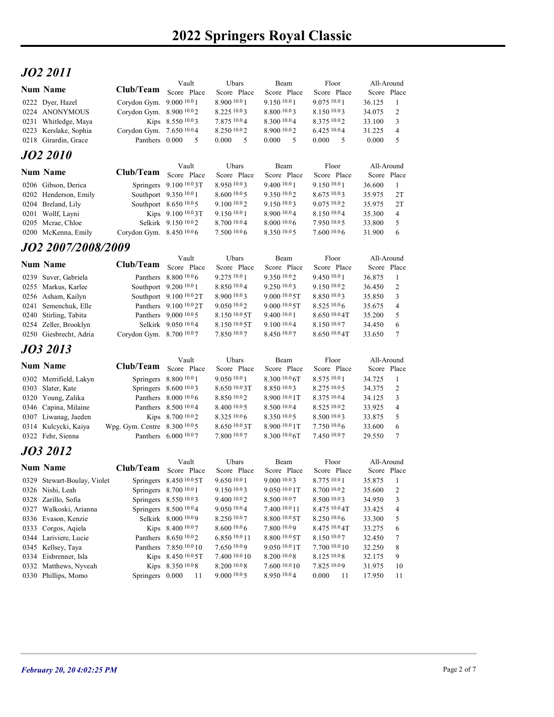# JO2 2011

| JO2 2011                                       |                                                       | Vault                                             | Ubars                                | Beam                          | Floor                        | All-Around                              |  |
|------------------------------------------------|-------------------------------------------------------|---------------------------------------------------|--------------------------------------|-------------------------------|------------------------------|-----------------------------------------|--|
| <b>Num Name</b>                                | Club/Team Score Place                                 |                                                   | Score Place                          | Score Place                   | Score Place                  | Score Place                             |  |
| 0222 Dyer, Hazel<br>0224 ANONYMOUS             | Corydon Gym. 9.000 10.0 1<br>Corydon Gym. 8.900 10.02 |                                                   | 8.900 10.0 1<br>8.225 10.0 3         | 9.150 10.0 1<br>8.800 10.03   | 9.075 10.0 1<br>8.150 10.03  | 36.125<br>-1<br>2<br>34.075             |  |
| 0231 Whitledge, Maya                           |                                                       | Kips 8.550 10.03                                  | 7.875 10.04                          | 8.300 10.04                   | 8.375 10.02                  | 3<br>33.100                             |  |
| 0223 Kerslake, Sophia<br>0218 Girardin, Grace  | Corydon Gym. 7.650 10.04<br>Panthers 0.000            | $\overline{5}$                                    | 8.250 10.0 2<br>0.000<br>$5^{\circ}$ | 8.900 10.02<br>5<br>0.000     | 6.425 10.04<br>0.000 5       | 31.225<br>$\overline{4}$<br>5<br>0.000  |  |
| <b>JO2 2010</b>                                |                                                       |                                                   |                                      |                               |                              |                                         |  |
| <b>Num Name</b>                                | Club/Team                                             | Vault                                             | Ubars                                | Beam                          | Floor                        | All-Around                              |  |
| 0206 Gibson, Derica                            |                                                       | Score Place<br>Springers 9.100 10.03T             | Score Place<br>8.950 10.03           | Score Place<br>9.400 10.0 1   | Score Place<br>9.150 10.01   | Score Place<br>36.600<br>-1             |  |
| 0202 Henderson, Emily                          |                                                       | Southport 9.350 10.0 1                            | 8.600 10.0 5                         | 9.350 10.02                   | 8.675 10.03                  | 2T<br>35.975                            |  |
| 0204 Breland, Lily<br>0201 Wollf, Layni        |                                                       | Southport 8.650 10.0 5<br>Kips 9.100 10.03T       | 9.100 10.0 2<br>9.150 10.0 1         | 9.150 10.03<br>8.900 10.04    | 9.075 10.02<br>8.150 10.04   | 2T<br>35.975<br>35.300<br>4             |  |
| 0205 Mcrae, Chloe                              |                                                       | Selkirk 9.150 10.02                               | 8.700 10.0 4                         | 8.000 10.06                   | 7.950 10.05                  | 33.800<br>5                             |  |
| 0200 McKenna, Emily                            | Corydon Gym. 8.450 10.06                              |                                                   | 7.5001006                            | 8.350 10.0 5                  | 7.6001006                    | 31.900<br>6                             |  |
| JO2 2007/2008/2009                             |                                                       | Vault                                             | Ubars                                | Beam                          | Floor                        | All-Around                              |  |
| <b>Num Name</b>                                | Club/Team Score Place                                 |                                                   | Score Place                          | Score Place                   | Score Place                  | Score Place                             |  |
| 0239 Suver, Gabriela                           |                                                       | Panthers $8.800\,10.06$                           | 9.275 10.0 1<br>8.850 10.04          | 9.350 10.02<br>9.250 10.03    | 9.450 10.0 1<br>9.150 10.02  | 36.875<br>-1                            |  |
| 0255 Markus, Karlee<br>0256 Asham, Kailyn      |                                                       | Southport 9.200 10.0 1<br>Southport 9.100 10.0 2T | 8.900 10.0 3                         | 9.000 10.0 5T                 | 8.850 10.03                  | 36.450<br>2<br>35.850<br>3              |  |
| 0241 Semenchuk, Elle                           |                                                       | Panthers 9.100 10.0 2T                            | 9.050 10.02                          | 9.000 10.0 5T                 | 8.525 10.0 6                 | 35.675<br>$\overline{4}$                |  |
| 0240 Stirling, Tabita<br>0254 Zeller, Brooklyn |                                                       | Panthers 9.000 10.0 5<br>Selkirk 9.050 10.04      | 8.150 10.0 5T<br>8.150 10.0 5T       | 9.400 10.0 1<br>9.100 10.04   | 8.650 10.0 4T<br>8.150 10.07 | 35.200<br>5<br>6<br>34.450              |  |
| 0250 Giesbrecht, Adria                         | Corydon Gym. 8.700 10.07                              |                                                   | 7.850 10.07                          | 8.450 10.07                   | 8.650 10.0 4T                | 33.650<br>$\tau$                        |  |
| JO3 2013                                       |                                                       |                                                   |                                      |                               |                              |                                         |  |
| <b>Num Name</b>                                | Club/Team                                             | Vault<br>Score Place                              | Ubars<br>Score Place                 | Beam<br>Score Place           | Floor<br>Score Place         | All-Around<br>Score Place               |  |
| 0302 Merrifield, Lakyn                         |                                                       | Springers 8.800 10.0 1                            | 9.050 10.0 1                         | $8.30010.06$ T                | 8.575 10.0 1                 | 34.725<br>$\mathbf{1}$                  |  |
| 0303 Slater, Kate<br>0320 Young, Zalika        |                                                       | Springers 8.600 10.03<br>Panthers 8.000 10.0 6    | 8.650 10.0 3T<br>8.850 10.02         | 8.850 10.03<br>8.900 10.0 1T  | 8.275 10.0 5<br>8.375 10.04  | 34.375<br>2<br>34.125<br>3              |  |
| 0346 Capina, Milaine                           |                                                       | Panthers 8.500 10.0 4                             | 8.400 10.0 5                         | 8.500 10.04                   | 8.525 10.02                  | 33.925<br>$\overline{4}$                |  |
| 0307 Liwanag, Jaeden<br>0314 Kulcycki, Kaiya   | Wpg. Gym. Centre 8.300 10.0 5                         | Kips 8.700 10.02                                  | 8.325 10.0 6<br>8.650 10.0 3T        | 8.350 10.0 5<br>8.900 10.0 1T | 8.500 10.03<br>7.750 10.06   | 33.875<br>5<br>33.600<br>6              |  |
| 0322 Fehr, Sienna                              |                                                       | Panthers 6.000 10.07                              | 7.800 10.07                          | 8.300 <sup>10.0</sup> 6T      | 7.450 10.07                  | 29.550<br>$7\phantom{.0}$               |  |
| JO3 2012                                       |                                                       |                                                   |                                      |                               |                              |                                         |  |
| <b>Num Name</b>                                | Club/Team                                             | Vault<br>Score Place                              | Ubars<br>Score Place                 | Beam<br>Score Place           | Floor<br>Score Place         | All-Around<br>Score Place               |  |
| 0329 Stewart-Boulay, Violet                    |                                                       | Springers 8.450 10.0 5T                           | 9.650 10.0 1                         | 9.000 10.03                   | 8.775 10.0 1                 | 35.875<br>$\mathbf{1}$                  |  |
| 0326 Nishi, Leah                               |                                                       | Springers 8.700 10.0 1                            | 9.150 10.03                          | 9.050 10.0 1T                 | 8.700 10.02                  | 2<br>35.600                             |  |
| 0328 Zarillo, Sofia<br>0327 Walkoski, Arianna  |                                                       | Springers 8.550 10.03<br>Springers 8.500 10.0 4   | 9.400 10.0 2<br>9.050 10.04          | 8.500 10.07<br>7.400 10.0 11  | 8.500 10.03<br>8.475 10.0 4T | 3<br>34.950<br>$\overline{4}$<br>33.425 |  |
| 0336 Evason, Kenzie                            |                                                       | Selkirk 8.000 10.09                               | 8.250 10.07                          | 8.800 10.0 5T                 | 8.250 10.0 6                 | 33.300<br>5                             |  |
| 0333 Corgos, Aqiela<br>0344 Lariviere, Lucie   |                                                       | Kips 8.400 10.07<br>Panthers 8.650 10.02          | 8.600 10.0 6<br>6.850 10.0 11        | 7.800 10.09<br>8.800 10.0 5T  | 8.475 10.0 4T<br>8.150 10.07 | 6<br>33.275<br>32.450<br>$\tau$         |  |
| 0345 Kellsey, Taya                             |                                                       | Panthers 7.850 10.0 10                            | 7.650 10.09                          | 9.050 10.0 1T                 | 7.700 10.0 10                | 8<br>32.250                             |  |
|                                                |                                                       |                                                   |                                      |                               |                              |                                         |  |
| 0334 Eisbrenner, Isla<br>0332 Matthews, Nyveah |                                                       | Kips 8.450 10.0 5T<br>Kips 8.350 10.08            | 7.400 10.0 10<br>8.200 10.0 8        | 8.200 10.0 8<br>7.600 10.0 10 | 8.125 10.0 8<br>7.825 10.09  | 32.175<br>9<br>31.975<br>10             |  |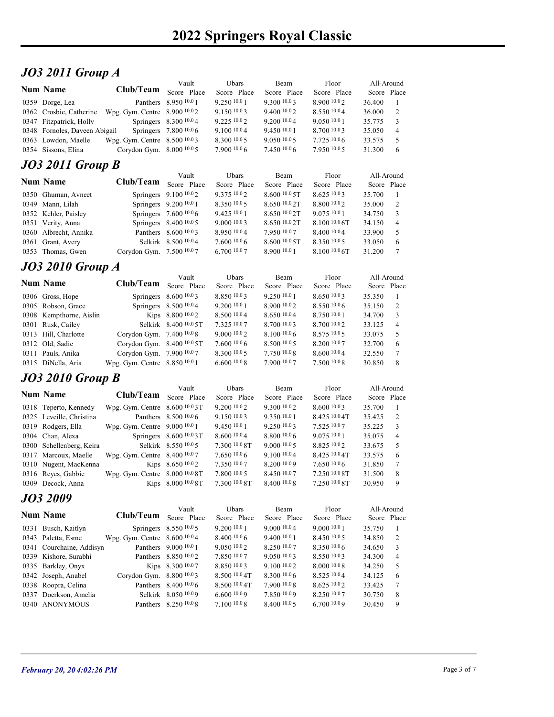# JO3 2011 Group A

|                                           |                                                        |                                                  | 2022 Springers Royal Classic |                                         |                             |                                         |
|-------------------------------------------|--------------------------------------------------------|--------------------------------------------------|------------------------------|-----------------------------------------|-----------------------------|-----------------------------------------|
|                                           |                                                        |                                                  |                              |                                         |                             |                                         |
|                                           |                                                        |                                                  |                              |                                         |                             |                                         |
| <b>JO3 2011 Group A</b>                   |                                                        |                                                  |                              |                                         |                             |                                         |
|                                           |                                                        | Vault                                            | Ubars                        | Beam                                    | Floor                       | All-Around                              |
| <b>Num Name</b>                           | Club/Team                                              | Score Place                                      | Score Place                  | Score Place                             | Score Place                 | Score Place                             |
| 0359 Dorge, Lea                           |                                                        | Panthers 8.950 10.0 1                            | 9.250 10.0 1                 | 9.300 10.03                             | 8.900 10.02                 | 36.400<br>-1                            |
| 0362 Crosbie, Catherine                   | Wpg. Gym. Centre 8.900 10.02                           |                                                  | 9.1501003                    | 9.400 10.02                             | 8.550 10.04                 | 36.000<br>2                             |
| 0347 Fitzpatrick, Holly                   |                                                        | Springers 8.300 10.04                            | 9.225 10.02                  | 9.200 <sup>10.0</sup> 4                 | 9.050 10.0 1                | 35.775<br>3                             |
| 0348 Fornoles, Daveen Abigail             |                                                        | Springers 7.800 10.06                            | $9.100\,10.04$               | 9.450 10.0 1                            | 8.700 10.03                 | 35.050<br>$\overline{4}$                |
| 0363 Lowdon, Maelle                       | Wpg. Gym. Centre 8.500 10.03                           |                                                  | 8.300 10.0 5                 | 9.05010.05                              | 7.725 10.06                 | 5<br>33.575                             |
| 0354 Sissons, Elina                       | Corydon Gym. 8.000 10.0 5                              |                                                  | 7.9001006                    | 7.450 10.06                             | 7.950 10.05                 | 31.300<br>6                             |
| <b>JO3 2011 Group B</b>                   |                                                        |                                                  |                              |                                         |                             |                                         |
| Num Name                                  | Club/Team                                              | Vault                                            | Ubars                        | Beam                                    | Floor                       | All-Around                              |
|                                           |                                                        | Score Place                                      | Score Place                  | Score Place                             | Score Place                 | Score Place                             |
| 0350 Ghuman, Avneet                       |                                                        | Springers 9.100 10.02                            | 9.375 10.02                  | 8.600 10.0 5T                           | 8.625 10.03                 | 35.700<br>-1                            |
| 0349 Mann, Lilah                          |                                                        | Springers 9.200 10.0 1                           | 8.350 10.0 5                 | $8.650\,10.02$ T                        | 8.800 10.02                 | 35.000<br>2                             |
| 0352 Kehler, Paisley<br>0351 Verity, Anna |                                                        | Springers 7.600 10.0 6<br>Springers 8.400 10.0 5 | 9.42510.01<br>9.0001003      | $8.650\,10.02$ T<br>$8.650\,10.02$ T    | 9.07510.01<br>8.100 10.0 6T | 34.750<br>3<br>34.150<br>$\overline{4}$ |
| 0360 Albrecht, Annika                     |                                                        | Panthers 8.600 10.03                             | 8.950 10.04                  | 7.950 10.07                             | 8.400 10.04                 | 5<br>33.900                             |
| 0361 Grant, Avery                         |                                                        | Selkirk 8.500 10.04                              | 7.6001006                    | $8.600\text{ }^{10.0}\text{ }5\text{T}$ | 8.350 10.05                 | 33.050<br>6                             |
| 0353 Thomas, Gwen                         | Corydon Gym. 7.500 10.07                               |                                                  | 6.700 10.07                  | 8.900 10.0 1                            | 8.100 10.0 6T               | 31.200<br>7                             |
|                                           |                                                        |                                                  |                              |                                         |                             |                                         |
| <b>JO3 2010 Group A</b>                   |                                                        |                                                  |                              |                                         |                             |                                         |
| <b>Num Name</b>                           | Club/Team Score Place                                  | Vault                                            | Ubars<br>Score Place         | Beam<br>Score Place                     | Floor<br>Score Place        | All-Around<br>Score Place               |
| 0306 Gross, Hope                          |                                                        | Springers 8.600 10.03                            | 8.850 10.03                  | 9.250 10.0 1                            | 8.650 10.03                 | 35.350<br>-1                            |
| 0305 Robson, Grace                        |                                                        | Springers 8.500 10.04                            | 9.200 10.0 1                 | 8.900 10.02                             | 8.5501006                   | 2<br>35.150                             |
| 0308 Kempthorne, Aislin                   |                                                        | Kips 8.800 10.02                                 | 8.500 10.0 4                 | 8.650 10.04                             | 8.750 10.0 1                | 34.700<br>3                             |
| 0301 Rusk, Cailey                         |                                                        | Selkirk 8.400 10.0 5T                            | 7.325 10.07                  | 8.700 10.03                             | 8.700 10.02                 | 33.125<br>$\overline{4}$                |
| 0313 Hill, Charlotte                      | Corydon Gym. 7.400 10.08                               |                                                  | 9.000 10.0 2                 | 8.100 10.0 6                            | 8.575 10.0 5                | 33.075<br>5                             |
| 0312 Old, Sadie                           | Corydon Gym. 8.400 10.0 5T                             |                                                  | 7.600 10.0 6                 | 8.500 10.0 5                            | 8.200 10.07                 | 32.700<br>6                             |
| 0311 Pauls, Anika                         | Corydon Gym. 7.900 10.07                               |                                                  | 8.300 10.0 5                 | 7.750 10.08                             | 8.600 10.04                 | 32.550<br>7                             |
| 0315 DiNella, Aria                        | Wpg. Gym. Centre 8.850 10.0 1                          |                                                  | 6.60010.08                   | 7.900 10.07                             | 7.500 10.08                 | 8<br>30.850                             |
| <b>JO3 2010 Group B</b>                   |                                                        |                                                  |                              |                                         |                             |                                         |
|                                           |                                                        | Vault                                            | Ubars                        | Beam                                    | Floor                       | All-Around                              |
|                                           |                                                        |                                                  |                              |                                         |                             |                                         |
| <b>Num Name</b><br>0318 Teperto, Kennedy  | Club/Team Score Place<br>Wpg. Gym. Centre 8.600 10.03T |                                                  | Score Place<br>9.200 10.0 2  | Score Place<br>9.300 10.02              | Score Place<br>8.600 10.03  | Score Place<br>35.700 1                 |

| $0352$ Kenler, Paisley |                          | Springers $1.6001000$    | 9.425 $10.01$ | $8.020 \frac{10.0}{21}$ 9.07.2 $\frac{10.0}{21}$ |                  | 34.750 |
|------------------------|--------------------------|--------------------------|---------------|--------------------------------------------------|------------------|--------|
| 0351 Verity, Anna      |                          | Springers $8.400\,10.05$ | 9,00010.03    | 8.6501002T                                       | 8.1001006        | 34.150 |
| 0360 Albrecht, Annika  |                          | Panthers 8.600 10.03     | 8.950 10.04   | 7.950 10.07                                      | 8.400 10.04      | 33.900 |
| 0361 Grant, Avery      |                          | Selkirk 8.500 10.04      | 7.6001006     | 8,60010.05                                       | 8.350 10.05      | 33.050 |
| 0353 Thomas, Gwen      | Corydon Gym. $7.5001007$ |                          | 6,70010.07    | 8.900 10.0 1                                     | $8.100\,10.06$ T | 31.200 |
|                        |                          |                          |               |                                                  |                  |        |

## JO3 2010 Group A

| 0348 Fornoles, Daveen Abigail |                                    | Springers 7.800 10.0 6       | $9.100\,10.04$ | 9.450 10.0 1  | 8.700 10.03      | 35.050      | $\overline{\mathcal{L}}$ |
|-------------------------------|------------------------------------|------------------------------|----------------|---------------|------------------|-------------|--------------------------|
| 0363 Lowdon, Maelle           | Wpg. Gym. Centre 8.500 10.03       |                              | 8.300 10.0 5   | 9.05010005    | 7.725 10.06      | 33.575      | 5                        |
| 0354 Sissons, Elina           | Corydon Gym. 8.000 10.0 5          |                              | 7.900 10.0 6   | 7.450 10.06   | 7.950 10.05      | 31.300      | $6\phantom{0}6$          |
| <b>JO3 2011 Group B</b>       |                                    |                              |                |               |                  |             |                          |
| Num Name                      | Club/Team                          | Vault                        | Ubars          | Beam          | Floor            | All-Around  |                          |
|                               |                                    | Score Place                  | Score Place    | Score Place   | Score Place      | Score Place |                          |
| 0350 Ghuman, Avneet           |                                    | Springers 9.100 10.02        | 9.375 10.02    | 8.600 10.0 5T | 8.625 10.03      | 35.700      | - 1                      |
| 0349 Mann, Lilah              |                                    | Springers 9.200 10.0 1       | 8.350 10.0 5   | 8.650 10.0 2T | 8.800 10.02      | 35.000      | 2                        |
| 0352 Kehler, Paisley          |                                    | Springers 7.600 10.0 6       | 9.425 10.0 1   | 8.650 10.0 2T | 9.075 10.01      | 34.750      | $\overline{3}$           |
| 0351 Verity, Anna             |                                    | Springers 8.400 10.0 5       | 9.0001003      | 8.650 10.0 2T | $8.100\ 10.06$ T | 34.150      | $\overline{4}$           |
| 0360 Albrecht, Annika         |                                    | Panthers 8.600 10.03         | 8.950 10.04    | 7.950 10.07   | 8.400 10.04      | 33.900      | 5                        |
| 0361 Grant, Avery             |                                    | Selkirk 8.500 10.04          | 7.600 10.0 6   | 8.600 10.0 5T | 8.350 10.05      | 33.050      | 6                        |
| 0353 Thomas, Gwen             | Corydon Gym. 7.500 10.07           |                              | 6.700 10.07    | 8.900 10.0 1  | 8.100 10.0 6T    | 31.200      | 7                        |
| <b>JO3 2010 Group A</b>       |                                    |                              |                |               |                  |             |                          |
| Num Name                      |                                    | Vault                        | Ubars          | Beam          | Floor            | All-Around  |                          |
|                               | Club/Team                          | Score Place                  | Score Place    | Score Place   | Score Place      | Score Place |                          |
| 0306 Gross, Hope              |                                    | Springers 8.600 10.03        | 8.850 10.03    | 9.250 10.01   | 8.650 10.03      | 35.350      |                          |
| 0305 Robson, Grace            |                                    | Springers 8.500 10.0 4       | 9.200 10.0 1   | 8.900 10.02   | 8.550 10.06      | 35.150      | 2                        |
| 0308 Kempthorne, Aislin       |                                    | Kips 8.800 10.02             | 8.50010.04     | 8.650 10.04   | 8.750 10.0 1     | 34.700      | 3                        |
| 0301 Rusk, Cailey             |                                    | Selkirk 8.400 10.0 5T        | 7.325 10.07    | 8.700 10.03   | 8.700 10.02      | 33.125      | $\overline{\mathcal{L}}$ |
| 0313 Hill, Charlotte          | Corydon Gym. 7.400 10.08           |                              | 9.000 10.02    | 8.100 10.06   | 8.575 10.0 5     | 33.075      | 5                        |
| 0312 Old, Sadie               | Corydon Gym. 8.400 10.0 5T         |                              | 7.6001006      | 8.500 10.0 5  | 8.200 10.07      | 32.700      | 6                        |
| 0311 Pauls, Anika             | Corydon Gym. 7.900 10.07           |                              | 8.300 10.0 5   | 7.750 10.08   | 8.600 10.04      | 32.550      | 7                        |
| 0315 DiNella, Aria            | Wpg. Gym. Centre 8.850 10.0 1      |                              | 6.6001008      | 7.900 10.07   | 7.500 10.0 8     | 30.850      | 8                        |
| <b>JO3 2010 Group B</b>       |                                    |                              |                |               |                  |             |                          |
| <b>Num Name</b>               |                                    | Vault                        | Ubars          | Beam          | Floor            | All-Around  |                          |
|                               | Club/Team                          | Score Place                  | Score Place    | Score Place   | Score Place      | Score Place |                          |
| 0318 Teperto, Kennedy         | Wpg. Gym. Centre $8.60010003T$     |                              | 9.200 10.0 2   | 9.300 10.02   | 8.600 10.03      | 35.700      |                          |
| 0325 Leveille, Christina      |                                    | Panthers 8.500 10.0 6        | 9.150 10.03    | 9.350 10.0 1  | 8.425 10.0 4T    | 35.425      | 2                        |
| 0319 Rodgers, Ella            | Wpg. Gym. Centre 9.000 10.0 1      |                              | 9.45010.01     | 9.250 10.03   | 7.525 10.07      | 35.225      | 3                        |
| 0304 Chan, Alexa              |                                    | Springers $8.600\,^{10.0}3T$ | 8.60010.04     | 8.800 10.0 6  | $9.075\ 10.01$   | 35.075      | 4                        |
| 0300 Schellenberg, Keira      |                                    | Selkirk 8.550 10.05          | 7.300 10.0 8T  | 9.000 10.0 5  | 8.825 10.02      | 33.675      | 5                        |
| 0317 Marcoux, Maelle          | Wpg. Gym. Centre $8.400\,^{10.0}7$ |                              | $7.650\,10.06$ | 9.100 10.04   | 8.425 10.0 4T    | 33.575      | 6                        |
| 0310 Nugent, MacKenna         |                                    | Kips 8.650 10.02             | 7.350 10.07    | 8.200 10.09   | 7.65010.06       | 31.850      |                          |
| 0316 Reyes, Gabbie            | Wpg. Gym. Centre 8.000 10.0 8T     |                              | 7.800 10.0 5   | 8.450 10.07   | 7.250 10.0 8T    | 31.500      | 8                        |

# JO3 2010 Group B

| 0350 Ghuman, Avneet      |                                | Springers 9.100 10.02   | 9.375 10.02    | 8.600 10.0 5T  | 8.625 10.03        | 35.700      | -1              |
|--------------------------|--------------------------------|-------------------------|----------------|----------------|--------------------|-------------|-----------------|
| 0349 Mann, Lilah         |                                | Springers 9.200 10.0 1  | 8.350 10.0 5   | 8.650 10.02T   | 8.800 10.02        | 35.000      | 2               |
| 0352 Kehler, Paisley     |                                | Springers 7.600 10.0 6  | 9.425 10.0 1   | 8.650 10.0 2T  | 9.075 10.01        | 34.750      | 3               |
| 0351 Verity, Anna        |                                | Springers 8.400 10.0 5  | 9.000 10.03    | 8.650 10.0 2T  | 8.100 10.0 6T      | 34.150      | $\overline{4}$  |
| 0360 Albrecht, Annika    |                                | Panthers 8.600 10.03    | 8.950 10.04    | 7.950 10.07    | 8.400 10.04        | 33.900      | 5               |
| 0361 Grant, Avery        |                                | Selkirk 8.500 10.04     | 7.6001006      | 8.60010005     | 8.350 10.05        | 33.050      | 6               |
| 0353 Thomas, Gwen        | Corydon Gym. 7.500 10.07       |                         | 6.700 10.07    | 8.900 10.0 1   | $8.100\,10.06$ T   | 31.200      | $7\phantom{.0}$ |
| <b>JO3 2010 Group A</b>  |                                |                         |                |                |                    |             |                 |
|                          |                                | Vault                   | Ubars          | Beam           | Floor              | All-Around  |                 |
| <b>Num Name</b>          | Club/Team                      | Score Place             | Score Place    | Score Place    | Score Place        | Score Place |                 |
| 0306 Gross, Hope         |                                | Springers 8.600 10.03   | 8.850 10.03    | 9.250 10.0 1   | 8.650 10.03        | 35.350      |                 |
| 0305 Robson, Grace       |                                | Springers 8.500 10.0 4  | 9.200 10.0 1   | 8.900 10.02    | 8.550 10.06        | 35.150      | $\overline{2}$  |
| 0308 Kempthorne, Aislin  |                                | Kips 8.800 10.02        | 8.500 10.0 4   | 8.650 10.04    | 8.750 10.01        | 34.700      | 3               |
| 0301 Rusk, Cailey        |                                | Selkirk 8.400 10.0 5T   | 7.325 10.07    | 8.700 10.03    | 8.700 10.02        | 33.125      | $\overline{4}$  |
| 0313 Hill, Charlotte     | Corydon Gym. 7.400 10.08       |                         | 9.000 10.02    | 8.100 10.0 6   | 8.575 10.05        | 33.075      | 5               |
| 0312 Old, Sadie          | Corydon Gym. 8.400 10.0 5T     |                         | 7.60010.06     | 8.500 10.0 5   | 8.200 10.07        | 32.700      | 6               |
| 0311 Pauls, Anika        | Corydon Gym. 7.900 10.07       |                         | 8.300 10.0 5   | 7.750 10.08    | 8.600 10.04        | 32.550      | $\tau$          |
| 0315 DiNella, Aria       | Wpg. Gym. Centre 8.850 10.0 1  |                         | 6.60010.08     | 7.900 10.07    | 7.500 10.08        | 30.850      | 8               |
|                          |                                |                         |                |                |                    |             |                 |
| <b>JO3 2010 Group B</b>  |                                |                         |                |                |                    |             |                 |
| <b>Num Name</b>          |                                | Vault                   | Ubars          | Beam           | Floor              | All-Around  |                 |
|                          | Club/Team Score Place          |                         | Score Place    | Score Place    | Score Place        | Score Place |                 |
| 0318 Teperto, Kennedy    | Wpg. Gym. Centre $8.6001003$ T |                         | 9.20010.02     | 9.300 10.02    | 8.600 10.03        | 35.700      | -1              |
| 0325 Leveille, Christina |                                | Panthers 8.500 10.0 6   | 9.150 10.03    | 9.350 10.01    | 8.425 10.0 4T      | 35.425      | $\overline{2}$  |
| 0319 Rodgers, Ella       | Wpg. Gym. Centre 9.000 10.0 1  |                         | 9.450 10.0 1   | 9.250 10.03    | 7.525 10.07        | 35.225      | 3               |
| 0304 Chan, Alexa         |                                | Springers 8.600 10.0 3T | 8.60010.04     | $8.800\ 10.06$ | $9.075$ $10.01$    | 35.075      | 4               |
| 0300 Schellenberg, Keira |                                | Selkirk 8.550 10.05     | 7.300 10.0 8T  | 9.000 10.0 5   | 8.825 10.02        | 33.675      | 5               |
| 0317 Marcoux, Maelle     | Wpg. Gym. Centre 8.400 10.07   |                         | $7.650\,10.06$ | $9.100\,10.04$ | $8.425\,^{10.0}4T$ | 33.575      | 6               |
| 0310 Nugent, MacKenna    |                                | Kips 8.650 10.02        | 7.350 10.07    | 8.200 10.09    | 7.650 10.06        | 31.850      | 7               |
| 0316 Reyes, Gabbie       | Wpg. Gym. Centre 8.000 10.0 8T |                         | 7.80010005     | 8.450 10.07    | $7.250\ 10.08$ T   | 31.500      | 8               |
| 0309 Decock, Anna        |                                | Kips 8.000 10.0 8T      | 7.300 10.0 8T  | 8.400 10.08    | 7.250 10.0 8T      | 30.950      | 9               |
| JO3 2009                 |                                |                         |                |                |                    |             |                 |
|                          |                                | Vault                   | Ubars          | Beam           | Floor              | All-Around  |                 |
| <b>Num Name</b>          | <b>Club/Team</b>               | Score Place             | Score Place    | Score Place    | Score Place        | Score Place |                 |
| 0331 Busch, Kaitlyn      |                                | Springers 8.550 10.0 5  | 9.200 10.0 1   | 9.000 10.04    | 9.000 10.0 1       | 35.750      | - 1             |
| 0343 Paletta, Esme       | Wpg. Gym. Centre 8.600 10.04   |                         | 8.400 10.0 6   | 9.400 10.0 1   | 8.450 10.05        | 34.850      | $\overline{2}$  |
| 0341 Courchaine, Addisyn |                                | Panthers 9.000 10.0 1   | 9.050 10.02    | 8.250 10.07    | 8.350 10.06        | 34.650      | 3               |
| 0339 Kishore, Surabhi    |                                | Panthers 8.850 10.02    | 7.850 10.07    | 9.050 10.03    | 8.550 10.03        | 34.300      | $\overline{4}$  |
| 0335 Barkley, Onyx       |                                | Kips 8.300 10.07        | 8.850 10.03    | 9.100 10.02    | 8.000 10.08        | 34.250      | 5               |
| 0342 Joseph, Anabel      | Corydon Gym. 8.800 10.03       |                         | 8.500 10.0 4T  | 8.300 10.06    | 8.525 10.04        | 34.125      | 6               |
| 0338 Roopra, Celina      |                                | Panthers 8.400 10.0 6   | 8.500 10.0 4T  | 7.900 10.08    | 8.625 10.02        | 33.425      | $\tau$          |
| 0337 Doerkson, Amelia    |                                | Selkirk 8.050 10.09     | 6.600 10.09    | 7.850 10.09    | 8.250 10.07        | 30.750      | $\,8\,$         |
| 0340 ANONYMOUS           |                                | Panthers 8.250 10.0 8   | 7.100 10.0 8   | 8.400 10.0 5   | 6.700 10.09        | 30.450      | 9               |
|                          |                                |                         |                |                |                    |             |                 |

#### JO3 2009

| Corydon Gym. 7.400 10.08<br>5<br>9.000 10.02<br>8.100 10.0 6<br>8.575 10.0 5<br>33.075<br>Corydon Gym. 8.400 10.0 5T<br>7.600 10.0 6<br>8.500 10.0 5<br>8.200 10.07<br>32.700<br>6<br>Corydon Gym. 7.900 10.07<br>8.300 10.0 5<br>7.750 10.08<br>8.600 10.04<br>$\overline{7}$<br>32.550<br>7.900 10.07<br>7.500 10.08<br>$8\phantom{.0}$<br>Wpg. Gym. Centre 8.850 10.0 1<br>6.60010.08<br>30.850<br>Ubars<br>Floor<br>Vault<br>Beam<br>All-Around<br>Club/Team<br>Score Place<br>Score Place<br>Score Place<br>Score Place<br>Score Place<br>Wpg. Gym. Centre 8.600 10.03T<br>9.200 10.0 2<br>9.300 10.02<br>8.600 10.03<br>35.700<br>-1<br>Panthers 8.500 10.0 6<br>9.150 10.03<br>9.350 10.01<br>8.425 10.0 4T<br>2<br>35.425<br>Wpg. Gym. Centre 9.000 10.0 1<br>9.450 10.0 1<br>9.250 10.03<br>7.525 10.07<br>3<br>35.225<br>8.60010.04<br>8.800 10.0 6<br>9.075 10.0 1<br>Springers 8.600 10.0 3T<br>35.075<br>$\overline{4}$<br>Selkirk 8.550 10.05<br>7.300 10.0 8T<br>9.000 10.0 5<br>8.825 10.02<br>33.675<br>$\mathfrak{S}$<br>$7.650\,10.06$<br>9.100 10.04<br>8.425 10.0 4T<br>Wpg. Gym. Centre 8.400 10.07<br>33.575<br>6<br>7.350 10.07<br>7.650 10.06<br>Kips 8.650 10.02<br>8.200 10.09<br>31.850<br>7<br>Wpg. Gym. Centre 8.000 10.0 8T<br>7.800110.05<br>7.250 <sup>10.0</sup> 8T<br>8.450 10.07<br>8<br>31.500<br>Kips 8.000 10.0 8T<br>7.300 10.0 8T<br>8.400 10.08<br>7.250 10.0 8T<br>30.950<br>9<br>Floor<br>Vault<br>Ubars<br>Beam<br>All-Around<br>Club/Team<br>Score Place<br>Score Place<br>Score Place<br>Score Place<br>Score Place<br>Springers 8.550 10.0 5<br>9.200 10.0 1<br>9.000 10.04<br>9.0001001<br>35.750<br>-1<br>Wpg. Gym. Centre 8.600 10.04<br>8.400 10.0 6<br>$\overline{2}$<br>9.400 10.0 1<br>8.450 10.0 5<br>34.850<br>Panthers 9.000 10.0 1<br>8.250 10.07<br>8.350 10.0 6<br>9.0501002<br>34.650<br>3<br>Panthers 8.850 10.02<br>7.850 10.07<br>9.050 10.03<br>8.550 10.03<br>34.300<br>4<br>Kips 8.300 10.07<br>8.850 10.03<br>9.100 10.02<br>8.000 10.08<br>5<br>34.250<br>Corydon Gym. 8.800 10.03<br>8.500 10.0 4T<br>8.300 10.06<br>8.525 10.04<br>6<br>34.125<br>Panthers 8.400 10.0 6<br>8.500 10.0 4T<br>7.900 10.08<br>8.625 10.02<br>33.425<br>7<br>Selkirk 8.050 10.09<br>6.600 10.09<br>8.250 10.07<br>30.750<br>8<br>7.850 10.09<br>Panthers 8.250 10.0 8<br>7.100 10.08<br>8.400 10.0 5<br>6.700 10.09<br>30.450<br>9 | 0313 Hill, Charlotte<br>0312 Old, Sadie<br>0311 Pauls, Anika<br>0315 DiNella, Aria<br><b>JO3 2010 Group B</b><br><b>Num Name</b><br>0318 Teperto, Kennedy<br>0325 Leveille, Christina<br>0319 Rodgers, Ella<br>0304 Chan, Alexa<br>0300 Schellenberg, Keira<br>0317 Marcoux, Maelle<br>0310 Nugent, MacKenna<br>0316 Reyes, Gabbie<br>0309 Decock, Anna<br>JO3 2009<br><b>Num Name</b><br>0331 Busch, Kaitlyn<br>0343 Paletta, Esme<br>0341 Courchaine, Addisyn<br>0339 Kishore, Surabhi<br>0335 Barkley, Onyx<br>0342 Joseph, Anabel<br>0338 Roopra, Celina<br>0337 Doerkson, Amelia<br>0340 ANONYMOUS<br>Page 3 of 7<br>February 20, 20 4:02:26 PM | 0301 Rusk, Cailey | Selkirk 8.400 10.0 5T | 7.325 10.07 | 8.700 10.03 | 8.700 10.02 | 33.125 | $\overline{4}$ |  |
|----------------------------------------------------------------------------------------------------------------------------------------------------------------------------------------------------------------------------------------------------------------------------------------------------------------------------------------------------------------------------------------------------------------------------------------------------------------------------------------------------------------------------------------------------------------------------------------------------------------------------------------------------------------------------------------------------------------------------------------------------------------------------------------------------------------------------------------------------------------------------------------------------------------------------------------------------------------------------------------------------------------------------------------------------------------------------------------------------------------------------------------------------------------------------------------------------------------------------------------------------------------------------------------------------------------------------------------------------------------------------------------------------------------------------------------------------------------------------------------------------------------------------------------------------------------------------------------------------------------------------------------------------------------------------------------------------------------------------------------------------------------------------------------------------------------------------------------------------------------------------------------------------------------------------------------------------------------------------------------------------------------------------------------------------------------------------------------------------------------------------------------------------------------------------------------------------------------------------------------------------------------------------------------------------------------------------------------------------------------------------------------|------------------------------------------------------------------------------------------------------------------------------------------------------------------------------------------------------------------------------------------------------------------------------------------------------------------------------------------------------------------------------------------------------------------------------------------------------------------------------------------------------------------------------------------------------------------------------------------------------------------------------------------------------|-------------------|-----------------------|-------------|-------------|-------------|--------|----------------|--|
|                                                                                                                                                                                                                                                                                                                                                                                                                                                                                                                                                                                                                                                                                                                                                                                                                                                                                                                                                                                                                                                                                                                                                                                                                                                                                                                                                                                                                                                                                                                                                                                                                                                                                                                                                                                                                                                                                                                                                                                                                                                                                                                                                                                                                                                                                                                                                                                        |                                                                                                                                                                                                                                                                                                                                                                                                                                                                                                                                                                                                                                                      |                   |                       |             |             |             |        |                |  |
|                                                                                                                                                                                                                                                                                                                                                                                                                                                                                                                                                                                                                                                                                                                                                                                                                                                                                                                                                                                                                                                                                                                                                                                                                                                                                                                                                                                                                                                                                                                                                                                                                                                                                                                                                                                                                                                                                                                                                                                                                                                                                                                                                                                                                                                                                                                                                                                        |                                                                                                                                                                                                                                                                                                                                                                                                                                                                                                                                                                                                                                                      |                   |                       |             |             |             |        |                |  |
|                                                                                                                                                                                                                                                                                                                                                                                                                                                                                                                                                                                                                                                                                                                                                                                                                                                                                                                                                                                                                                                                                                                                                                                                                                                                                                                                                                                                                                                                                                                                                                                                                                                                                                                                                                                                                                                                                                                                                                                                                                                                                                                                                                                                                                                                                                                                                                                        |                                                                                                                                                                                                                                                                                                                                                                                                                                                                                                                                                                                                                                                      |                   |                       |             |             |             |        |                |  |
|                                                                                                                                                                                                                                                                                                                                                                                                                                                                                                                                                                                                                                                                                                                                                                                                                                                                                                                                                                                                                                                                                                                                                                                                                                                                                                                                                                                                                                                                                                                                                                                                                                                                                                                                                                                                                                                                                                                                                                                                                                                                                                                                                                                                                                                                                                                                                                                        |                                                                                                                                                                                                                                                                                                                                                                                                                                                                                                                                                                                                                                                      |                   |                       |             |             |             |        |                |  |
|                                                                                                                                                                                                                                                                                                                                                                                                                                                                                                                                                                                                                                                                                                                                                                                                                                                                                                                                                                                                                                                                                                                                                                                                                                                                                                                                                                                                                                                                                                                                                                                                                                                                                                                                                                                                                                                                                                                                                                                                                                                                                                                                                                                                                                                                                                                                                                                        |                                                                                                                                                                                                                                                                                                                                                                                                                                                                                                                                                                                                                                                      |                   |                       |             |             |             |        |                |  |
|                                                                                                                                                                                                                                                                                                                                                                                                                                                                                                                                                                                                                                                                                                                                                                                                                                                                                                                                                                                                                                                                                                                                                                                                                                                                                                                                                                                                                                                                                                                                                                                                                                                                                                                                                                                                                                                                                                                                                                                                                                                                                                                                                                                                                                                                                                                                                                                        |                                                                                                                                                                                                                                                                                                                                                                                                                                                                                                                                                                                                                                                      |                   |                       |             |             |             |        |                |  |
|                                                                                                                                                                                                                                                                                                                                                                                                                                                                                                                                                                                                                                                                                                                                                                                                                                                                                                                                                                                                                                                                                                                                                                                                                                                                                                                                                                                                                                                                                                                                                                                                                                                                                                                                                                                                                                                                                                                                                                                                                                                                                                                                                                                                                                                                                                                                                                                        |                                                                                                                                                                                                                                                                                                                                                                                                                                                                                                                                                                                                                                                      |                   |                       |             |             |             |        |                |  |
|                                                                                                                                                                                                                                                                                                                                                                                                                                                                                                                                                                                                                                                                                                                                                                                                                                                                                                                                                                                                                                                                                                                                                                                                                                                                                                                                                                                                                                                                                                                                                                                                                                                                                                                                                                                                                                                                                                                                                                                                                                                                                                                                                                                                                                                                                                                                                                                        |                                                                                                                                                                                                                                                                                                                                                                                                                                                                                                                                                                                                                                                      |                   |                       |             |             |             |        |                |  |
|                                                                                                                                                                                                                                                                                                                                                                                                                                                                                                                                                                                                                                                                                                                                                                                                                                                                                                                                                                                                                                                                                                                                                                                                                                                                                                                                                                                                                                                                                                                                                                                                                                                                                                                                                                                                                                                                                                                                                                                                                                                                                                                                                                                                                                                                                                                                                                                        |                                                                                                                                                                                                                                                                                                                                                                                                                                                                                                                                                                                                                                                      |                   |                       |             |             |             |        |                |  |
|                                                                                                                                                                                                                                                                                                                                                                                                                                                                                                                                                                                                                                                                                                                                                                                                                                                                                                                                                                                                                                                                                                                                                                                                                                                                                                                                                                                                                                                                                                                                                                                                                                                                                                                                                                                                                                                                                                                                                                                                                                                                                                                                                                                                                                                                                                                                                                                        |                                                                                                                                                                                                                                                                                                                                                                                                                                                                                                                                                                                                                                                      |                   |                       |             |             |             |        |                |  |
|                                                                                                                                                                                                                                                                                                                                                                                                                                                                                                                                                                                                                                                                                                                                                                                                                                                                                                                                                                                                                                                                                                                                                                                                                                                                                                                                                                                                                                                                                                                                                                                                                                                                                                                                                                                                                                                                                                                                                                                                                                                                                                                                                                                                                                                                                                                                                                                        |                                                                                                                                                                                                                                                                                                                                                                                                                                                                                                                                                                                                                                                      |                   |                       |             |             |             |        |                |  |
|                                                                                                                                                                                                                                                                                                                                                                                                                                                                                                                                                                                                                                                                                                                                                                                                                                                                                                                                                                                                                                                                                                                                                                                                                                                                                                                                                                                                                                                                                                                                                                                                                                                                                                                                                                                                                                                                                                                                                                                                                                                                                                                                                                                                                                                                                                                                                                                        |                                                                                                                                                                                                                                                                                                                                                                                                                                                                                                                                                                                                                                                      |                   |                       |             |             |             |        |                |  |
|                                                                                                                                                                                                                                                                                                                                                                                                                                                                                                                                                                                                                                                                                                                                                                                                                                                                                                                                                                                                                                                                                                                                                                                                                                                                                                                                                                                                                                                                                                                                                                                                                                                                                                                                                                                                                                                                                                                                                                                                                                                                                                                                                                                                                                                                                                                                                                                        |                                                                                                                                                                                                                                                                                                                                                                                                                                                                                                                                                                                                                                                      |                   |                       |             |             |             |        |                |  |
|                                                                                                                                                                                                                                                                                                                                                                                                                                                                                                                                                                                                                                                                                                                                                                                                                                                                                                                                                                                                                                                                                                                                                                                                                                                                                                                                                                                                                                                                                                                                                                                                                                                                                                                                                                                                                                                                                                                                                                                                                                                                                                                                                                                                                                                                                                                                                                                        |                                                                                                                                                                                                                                                                                                                                                                                                                                                                                                                                                                                                                                                      |                   |                       |             |             |             |        |                |  |
|                                                                                                                                                                                                                                                                                                                                                                                                                                                                                                                                                                                                                                                                                                                                                                                                                                                                                                                                                                                                                                                                                                                                                                                                                                                                                                                                                                                                                                                                                                                                                                                                                                                                                                                                                                                                                                                                                                                                                                                                                                                                                                                                                                                                                                                                                                                                                                                        |                                                                                                                                                                                                                                                                                                                                                                                                                                                                                                                                                                                                                                                      |                   |                       |             |             |             |        |                |  |
|                                                                                                                                                                                                                                                                                                                                                                                                                                                                                                                                                                                                                                                                                                                                                                                                                                                                                                                                                                                                                                                                                                                                                                                                                                                                                                                                                                                                                                                                                                                                                                                                                                                                                                                                                                                                                                                                                                                                                                                                                                                                                                                                                                                                                                                                                                                                                                                        |                                                                                                                                                                                                                                                                                                                                                                                                                                                                                                                                                                                                                                                      |                   |                       |             |             |             |        |                |  |
|                                                                                                                                                                                                                                                                                                                                                                                                                                                                                                                                                                                                                                                                                                                                                                                                                                                                                                                                                                                                                                                                                                                                                                                                                                                                                                                                                                                                                                                                                                                                                                                                                                                                                                                                                                                                                                                                                                                                                                                                                                                                                                                                                                                                                                                                                                                                                                                        |                                                                                                                                                                                                                                                                                                                                                                                                                                                                                                                                                                                                                                                      |                   |                       |             |             |             |        |                |  |
|                                                                                                                                                                                                                                                                                                                                                                                                                                                                                                                                                                                                                                                                                                                                                                                                                                                                                                                                                                                                                                                                                                                                                                                                                                                                                                                                                                                                                                                                                                                                                                                                                                                                                                                                                                                                                                                                                                                                                                                                                                                                                                                                                                                                                                                                                                                                                                                        |                                                                                                                                                                                                                                                                                                                                                                                                                                                                                                                                                                                                                                                      |                   |                       |             |             |             |        |                |  |
|                                                                                                                                                                                                                                                                                                                                                                                                                                                                                                                                                                                                                                                                                                                                                                                                                                                                                                                                                                                                                                                                                                                                                                                                                                                                                                                                                                                                                                                                                                                                                                                                                                                                                                                                                                                                                                                                                                                                                                                                                                                                                                                                                                                                                                                                                                                                                                                        |                                                                                                                                                                                                                                                                                                                                                                                                                                                                                                                                                                                                                                                      |                   |                       |             |             |             |        |                |  |
|                                                                                                                                                                                                                                                                                                                                                                                                                                                                                                                                                                                                                                                                                                                                                                                                                                                                                                                                                                                                                                                                                                                                                                                                                                                                                                                                                                                                                                                                                                                                                                                                                                                                                                                                                                                                                                                                                                                                                                                                                                                                                                                                                                                                                                                                                                                                                                                        |                                                                                                                                                                                                                                                                                                                                                                                                                                                                                                                                                                                                                                                      |                   |                       |             |             |             |        |                |  |
|                                                                                                                                                                                                                                                                                                                                                                                                                                                                                                                                                                                                                                                                                                                                                                                                                                                                                                                                                                                                                                                                                                                                                                                                                                                                                                                                                                                                                                                                                                                                                                                                                                                                                                                                                                                                                                                                                                                                                                                                                                                                                                                                                                                                                                                                                                                                                                                        |                                                                                                                                                                                                                                                                                                                                                                                                                                                                                                                                                                                                                                                      |                   |                       |             |             |             |        |                |  |
|                                                                                                                                                                                                                                                                                                                                                                                                                                                                                                                                                                                                                                                                                                                                                                                                                                                                                                                                                                                                                                                                                                                                                                                                                                                                                                                                                                                                                                                                                                                                                                                                                                                                                                                                                                                                                                                                                                                                                                                                                                                                                                                                                                                                                                                                                                                                                                                        |                                                                                                                                                                                                                                                                                                                                                                                                                                                                                                                                                                                                                                                      |                   |                       |             |             |             |        |                |  |
|                                                                                                                                                                                                                                                                                                                                                                                                                                                                                                                                                                                                                                                                                                                                                                                                                                                                                                                                                                                                                                                                                                                                                                                                                                                                                                                                                                                                                                                                                                                                                                                                                                                                                                                                                                                                                                                                                                                                                                                                                                                                                                                                                                                                                                                                                                                                                                                        |                                                                                                                                                                                                                                                                                                                                                                                                                                                                                                                                                                                                                                                      |                   |                       |             |             |             |        |                |  |
|                                                                                                                                                                                                                                                                                                                                                                                                                                                                                                                                                                                                                                                                                                                                                                                                                                                                                                                                                                                                                                                                                                                                                                                                                                                                                                                                                                                                                                                                                                                                                                                                                                                                                                                                                                                                                                                                                                                                                                                                                                                                                                                                                                                                                                                                                                                                                                                        |                                                                                                                                                                                                                                                                                                                                                                                                                                                                                                                                                                                                                                                      |                   |                       |             |             |             |        |                |  |
|                                                                                                                                                                                                                                                                                                                                                                                                                                                                                                                                                                                                                                                                                                                                                                                                                                                                                                                                                                                                                                                                                                                                                                                                                                                                                                                                                                                                                                                                                                                                                                                                                                                                                                                                                                                                                                                                                                                                                                                                                                                                                                                                                                                                                                                                                                                                                                                        |                                                                                                                                                                                                                                                                                                                                                                                                                                                                                                                                                                                                                                                      |                   |                       |             |             |             |        |                |  |
|                                                                                                                                                                                                                                                                                                                                                                                                                                                                                                                                                                                                                                                                                                                                                                                                                                                                                                                                                                                                                                                                                                                                                                                                                                                                                                                                                                                                                                                                                                                                                                                                                                                                                                                                                                                                                                                                                                                                                                                                                                                                                                                                                                                                                                                                                                                                                                                        |                                                                                                                                                                                                                                                                                                                                                                                                                                                                                                                                                                                                                                                      |                   |                       |             |             |             |        |                |  |
|                                                                                                                                                                                                                                                                                                                                                                                                                                                                                                                                                                                                                                                                                                                                                                                                                                                                                                                                                                                                                                                                                                                                                                                                                                                                                                                                                                                                                                                                                                                                                                                                                                                                                                                                                                                                                                                                                                                                                                                                                                                                                                                                                                                                                                                                                                                                                                                        |                                                                                                                                                                                                                                                                                                                                                                                                                                                                                                                                                                                                                                                      |                   |                       |             |             |             |        |                |  |
|                                                                                                                                                                                                                                                                                                                                                                                                                                                                                                                                                                                                                                                                                                                                                                                                                                                                                                                                                                                                                                                                                                                                                                                                                                                                                                                                                                                                                                                                                                                                                                                                                                                                                                                                                                                                                                                                                                                                                                                                                                                                                                                                                                                                                                                                                                                                                                                        |                                                                                                                                                                                                                                                                                                                                                                                                                                                                                                                                                                                                                                                      |                   |                       |             |             |             |        |                |  |
|                                                                                                                                                                                                                                                                                                                                                                                                                                                                                                                                                                                                                                                                                                                                                                                                                                                                                                                                                                                                                                                                                                                                                                                                                                                                                                                                                                                                                                                                                                                                                                                                                                                                                                                                                                                                                                                                                                                                                                                                                                                                                                                                                                                                                                                                                                                                                                                        |                                                                                                                                                                                                                                                                                                                                                                                                                                                                                                                                                                                                                                                      |                   |                       |             |             |             |        |                |  |
|                                                                                                                                                                                                                                                                                                                                                                                                                                                                                                                                                                                                                                                                                                                                                                                                                                                                                                                                                                                                                                                                                                                                                                                                                                                                                                                                                                                                                                                                                                                                                                                                                                                                                                                                                                                                                                                                                                                                                                                                                                                                                                                                                                                                                                                                                                                                                                                        |                                                                                                                                                                                                                                                                                                                                                                                                                                                                                                                                                                                                                                                      |                   |                       |             |             |             |        |                |  |
|                                                                                                                                                                                                                                                                                                                                                                                                                                                                                                                                                                                                                                                                                                                                                                                                                                                                                                                                                                                                                                                                                                                                                                                                                                                                                                                                                                                                                                                                                                                                                                                                                                                                                                                                                                                                                                                                                                                                                                                                                                                                                                                                                                                                                                                                                                                                                                                        |                                                                                                                                                                                                                                                                                                                                                                                                                                                                                                                                                                                                                                                      |                   |                       |             |             |             |        |                |  |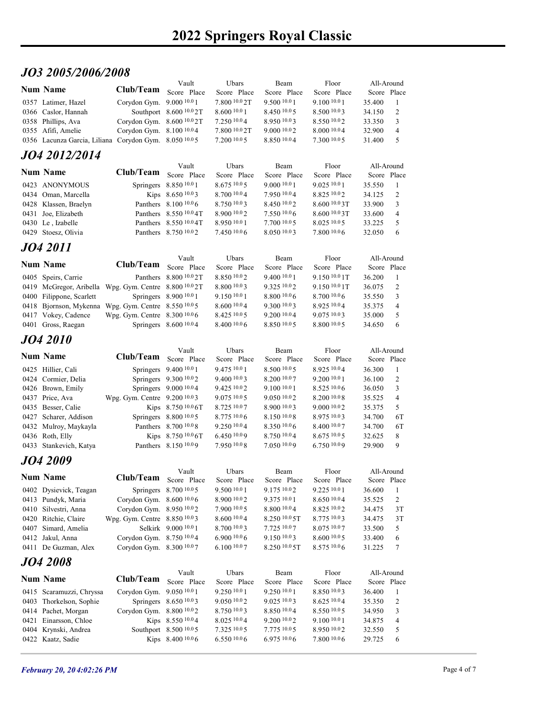# JO3 2005/2006/2008

| <i><b>JO3 2005/2006/2008</b></i><br>Ubars<br>Beam<br>Floor<br>All-Around<br>Vault<br><b>Num Name</b><br>Club/Team<br>Score Place<br>Score Place<br>Score Place<br>Score Place<br>Score Place<br>Corydon Gym. 9.000 10.0 1<br>7.800 10.0 2T<br>9.500 10.0 1<br>9.100 10.0 1<br>0357 Latimer, Hazel<br>35.400<br>-1<br>Southport 8.600 10.0 2T<br>8.600 10.0 1<br>2<br>8.450 10.05<br>8.5001003<br>34.150<br>0366 Caslor, Hannah<br>Corydon Gym. 8.600 10.0 2T<br>8.550 10.02<br>0358 Phillips, Ava<br>7.250 10.04<br>8.950 10.03<br>3<br>33.350<br>Corydon Gym. 8.100 10.04<br>7.800 10.0 2T<br>9.000 10.02<br>8.000 10.04<br>32.900<br>0355 Afifi, Amelie<br>$\overline{4}$<br>7.20010005<br>8.850 10.04<br>7.300 10.0 5<br>Corydon Gym. 8.050 10.05<br>31.400<br>5<br>0356 Lacunza Garcia, Liliana<br>JO4 2012/2014<br>Ubars<br>Floor<br>Beam<br>All-Around<br>Vault<br><b>Num Name</b><br>Club/Team<br>Score Place<br>Score Place<br>Score Place<br>Score Place<br>Score Place<br>Springers 8.850 10.0 1<br>0423 ANONYMOUS<br>8.675 10.0 5<br>9.000 10.0 1<br>9.025 10.0 1<br>35.550<br>-1<br>2<br>0434 Oman, Marcella<br>Kips 8.650 10.03<br>8.700 10.04<br>7.950 10.04<br>8.825 10.02<br>34.125<br>Panthers 8.100 10.0 6<br>3<br>0428 Klassen, Braelyn<br>8.750 10.03<br>8.450 10.02<br>8.6001003<br>33.900<br>0431 Joe, Elizabeth<br>Panthers 8.550 10.0 4T<br>8.900 10.0 2<br>7.550 10.06<br>8.6001003<br>33.600<br>$\overline{4}$<br>Panthers 8.550 10.0 4T<br>8.950 10.0 1<br>7.700 10.0 5<br>8.025 10.0 5<br>0430 Le, Izabelle<br>33.225<br>5<br>Panthers 8.750 10.02<br>7.450 10.0 6<br>8.050 10.03<br>7.800 10.06<br>0429 Stoesz, Olivia<br>32.050<br>-6<br>JO4 2011<br>Vault<br>Ubars<br>Beam<br>Floor<br>All-Around<br><b>Num Name</b><br>Club/Team Score Place<br>Score Place<br>Score Place<br>Score Place<br>Score Place<br>Panthers 8.800 10.0 2T<br>$8.850\,10.0\,2$<br>9.400 10.0 1<br>9.150 10.0 1T<br>0405 Speirs, Carrie<br>36.200<br>0419 McGregor, Aribella Wpg. Gym. Centre 8.800 10.02T<br>8.800 10.03<br>9.325 10.02<br>9.150 10.0 1T<br>2<br>36.075<br>Springers 8.900 10.0 1<br>9.150 10.0 1<br>8.800 10.06<br>8.700 10.06<br>3<br>0400 Filippone, Scarlett<br>35.550<br>0418 Bjornson, Mykenna Wpg. Gym. Centre 8.550 10.05<br>8.600 10.0 4<br>9.300 10.03<br>8.925 10.04<br>35.375<br>$\overline{4}$<br>Wpg. Gym. Centre 8.300 10.0 6<br>8.425 10.0 5<br>9.200 10.04<br>9.075 10.03<br>35.000<br>5<br>0417 Vokey, Cadence<br>0401 Gross, Raegan<br>Springers 8.600 10.04<br>8.400 10.0 6<br>8.850 10.05<br>8.800 10.0 5<br>- 6<br>34.650<br><b>JO4 2010</b><br>Ubars<br>Floor<br>All-Around<br>Vault<br>Beam<br><b>Num Name</b><br>Club/Team Score Place<br>Score Place<br>Score Place<br>Score Place<br>Score Place<br>Springers 9.400 10.0 1<br>9.475 10.0 1<br>8.500 10.0 5<br>8.925 10.04<br>36.300<br>0425 Hillier, Cali<br>Springers 9.300 10.02<br>9.400 10.03<br>8.200 10.07<br>9.200 10.0 1<br>2<br>0424 Cormier, Delia<br>36.100<br>Springers 9.000 10.04<br>9.425 10.02<br>9.100 10.0 1<br>8.52510.06<br>0426 Brown, Emily<br>36.050<br>3<br>Wpg. Gym. Centre 9.200 10.03<br>9.075 10.0 5<br>9.050 10.02<br>8.200 10.0 8<br>35.525<br>0437 Price, Ava<br>$\overline{4}$<br>Kips 8.750 10.0 6T<br>8.725 10.07<br>8.900 10.03<br>9.000 10.02<br>35.375<br>5<br>0435 Besser, Calie<br>Springers 8.800 10.0 5<br>8.775 10.0 6<br>8.150 10.08<br>8.975 10.03<br>6T<br>0427 Scharer, Addison<br>34.700<br>Panthers 8.700 10.0 8<br>9.250 10.04<br>6T<br>0432 Mulroy, Maykayla<br>8.350 10.06<br>8.400 10.07<br>34.700<br>Kips 8.750 10.0 6T<br>0436 Roth, Elly<br>6.45010.09<br>8.750 10.04<br>$8.675\,10.05$<br>8<br>32.625<br>0433 Stankevich, Katya<br>Panthers 8.150 10.09<br>7.950 10.08<br>7.050 10.09<br>6.750 10.09<br>29.900<br>9<br>JO4 2009<br>Vault<br>Ubars<br>Floor<br>All-Around<br>Beam<br><b>Num Name</b><br><b>Club/Team</b><br>Score Place<br>Score Place<br>Score Place<br>Score Place<br>Score Place<br>Springers 8.700 10.0 5<br>9.500 10.0 1<br>9.175 10.02<br>9.225 10.0 1<br>0402 Dysievick, Teagan<br>36.600<br>-1<br>0413 Pundyk, Maria<br>Corydon Gym. 8.600 10.06<br>8.900 10.0 2<br>9.375 10.0 1<br>8.650 10.04<br>35.525<br>2<br>Corydon Gym. 8.950 10.02<br>7.900 10.0 5<br>3T<br>0410 Silvestri, Anna<br>8.800 10.04<br>8.825 10.02<br>34.475<br>Wpg. Gym. Centre 8.850 10.03<br>8.600 10.0 4<br>3T<br>0420 Ritchie, Claire<br>$8.250\ 10.05$ T<br>8.775 10.03<br>34.475<br>Selkirk 9.000 10.0 1<br>8.075 10.07<br>0407 Simard, Amelia<br>8.700 10.03<br>7.725 10.07<br>33.500<br>5<br>Corydon Gym. 8.750 10.04<br>6.900 10.0 6<br>9.150 10.03<br>8.600 10.0 5<br>33.400<br>6<br>0412 Jakul, Anna<br>Corydon Gym. 8.300 10.07<br>6.100110.07<br>8.250 10.0 5T<br>8.575 10.06<br>$\tau$<br>0411 De Guzman, Alex<br>31.225<br><i><b>JO4 2008</b></i><br>Ubars<br>Floor<br>All-Around<br>Vault<br>Beam<br><b>Num Name</b><br>Club/Team<br>Score Place<br>Score Place<br>Score Place<br>Score Place<br>Score Place<br>Corydon Gym. 9.050 10.0 1<br>9.250 10.0 1<br>9.250 10.0 1<br>8.850 10.03<br>0415 Scaramuzzi, Chryssa<br>36.400<br>-1<br>Springers 8.650 10.03<br>9.050 10.02<br>9.02510.03<br>2<br>0403 Thorkelson, Sophie<br>8.625 10.04<br>35.350<br>0414 Pachet, Morgan<br>Corydon Gym. 8.800 10.02<br>8.750 10.03<br>8.850 10.04<br>8.550 10.05<br>34.950<br>3<br>Kips 8.550 10.04<br>8.025 10.04<br>9.100 10.0 1<br>0421 Einarsson, Chloe<br>9.200 10.0 2<br>34.875<br>$\overline{4}$<br>Southport 8.500 10.0 5<br>7.325 10.0 5<br>7.775 10.0 5<br>8.950 10.02<br>5<br>0404 Krynski, Andrea<br>32.550<br>Kips 8.400 10.06<br>6.55010.06<br>6.975 10.06<br>7.800 10.06<br>6<br>0422 Kaatz, Sadie<br>29.725 |  |  |  |  |  |
|---------------------------------------------------------------------------------------------------------------------------------------------------------------------------------------------------------------------------------------------------------------------------------------------------------------------------------------------------------------------------------------------------------------------------------------------------------------------------------------------------------------------------------------------------------------------------------------------------------------------------------------------------------------------------------------------------------------------------------------------------------------------------------------------------------------------------------------------------------------------------------------------------------------------------------------------------------------------------------------------------------------------------------------------------------------------------------------------------------------------------------------------------------------------------------------------------------------------------------------------------------------------------------------------------------------------------------------------------------------------------------------------------------------------------------------------------------------------------------------------------------------------------------------------------------------------------------------------------------------------------------------------------------------------------------------------------------------------------------------------------------------------------------------------------------------------------------------------------------------------------------------------------------------------------------------------------------------------------------------------------------------------------------------------------------------------------------------------------------------------------------------------------------------------------------------------------------------------------------------------------------------------------------------------------------------------------------------------------------------------------------------------------------------------------------------------------------------------------------------------------------------------------------------------------------------------------------------------------------------------------------------------------------------------------------------------------------------------------------------------------------------------------------------------------------------------------------------------------------------------------------------------------------------------------------------------------------------------------------------------------------------------------------------------------------------------------------------------------------------------------------------------------------------------------------------------------------------------------------------------------------------------------------------------------------------------------------------------------------------------------------------------------------------------------------------------------------------------------------------------------------------------------------------------------------------------------------------------------------------------------------------------------------------------------------------------------------------------------------------------------------------------------------------------------------------------------------------------------------------------------------------------------------------------------------------------------------------------------------------------------------------------------------------------------------------------------------------------------------------------------------------------------------------------------------------------------------------------------------------------------------------------------------------------------------------------------------------------------------------------------------------------------------------------------------------------------------------------------------------------------------------------------------------------------------------------------------------------------------------------------------------------------------------------------------------------------------------------------------------------------------------------------------------------------------------------------------------------------------------------------------------------------------------------------------------------------------------------------------------------------------------------------------------------------------------------------------------------------------------------------------------------------------------------------------------------------------------------------------------------------------------------------------------------------------------------------------------------------------------------------------------------------------------------------------------------------------------------------------------------------------------------------------------------------------------------------------------------------------------------------------------------------------------------------------------|--|--|--|--|--|
|                                                                                                                                                                                                                                                                                                                                                                                                                                                                                                                                                                                                                                                                                                                                                                                                                                                                                                                                                                                                                                                                                                                                                                                                                                                                                                                                                                                                                                                                                                                                                                                                                                                                                                                                                                                                                                                                                                                                                                                                                                                                                                                                                                                                                                                                                                                                                                                                                                                                                                                                                                                                                                                                                                                                                                                                                                                                                                                                                                                                                                                                                                                                                                                                                                                                                                                                                                                                                                                                                                                                                                                                                                                                                                                                                                                                                                                                                                                                                                                                                                                                                                                                                                                                                                                                                                                                                                                                                                                                                                                                                                                                                                                                                                                                                                                                                                                                                                                                                                                                                                                                                                                                                                                                                                                                                                                                                                                                                                                                                                                                                                                                                                                                                       |  |  |  |  |  |
|                                                                                                                                                                                                                                                                                                                                                                                                                                                                                                                                                                                                                                                                                                                                                                                                                                                                                                                                                                                                                                                                                                                                                                                                                                                                                                                                                                                                                                                                                                                                                                                                                                                                                                                                                                                                                                                                                                                                                                                                                                                                                                                                                                                                                                                                                                                                                                                                                                                                                                                                                                                                                                                                                                                                                                                                                                                                                                                                                                                                                                                                                                                                                                                                                                                                                                                                                                                                                                                                                                                                                                                                                                                                                                                                                                                                                                                                                                                                                                                                                                                                                                                                                                                                                                                                                                                                                                                                                                                                                                                                                                                                                                                                                                                                                                                                                                                                                                                                                                                                                                                                                                                                                                                                                                                                                                                                                                                                                                                                                                                                                                                                                                                                                       |  |  |  |  |  |
|                                                                                                                                                                                                                                                                                                                                                                                                                                                                                                                                                                                                                                                                                                                                                                                                                                                                                                                                                                                                                                                                                                                                                                                                                                                                                                                                                                                                                                                                                                                                                                                                                                                                                                                                                                                                                                                                                                                                                                                                                                                                                                                                                                                                                                                                                                                                                                                                                                                                                                                                                                                                                                                                                                                                                                                                                                                                                                                                                                                                                                                                                                                                                                                                                                                                                                                                                                                                                                                                                                                                                                                                                                                                                                                                                                                                                                                                                                                                                                                                                                                                                                                                                                                                                                                                                                                                                                                                                                                                                                                                                                                                                                                                                                                                                                                                                                                                                                                                                                                                                                                                                                                                                                                                                                                                                                                                                                                                                                                                                                                                                                                                                                                                                       |  |  |  |  |  |
|                                                                                                                                                                                                                                                                                                                                                                                                                                                                                                                                                                                                                                                                                                                                                                                                                                                                                                                                                                                                                                                                                                                                                                                                                                                                                                                                                                                                                                                                                                                                                                                                                                                                                                                                                                                                                                                                                                                                                                                                                                                                                                                                                                                                                                                                                                                                                                                                                                                                                                                                                                                                                                                                                                                                                                                                                                                                                                                                                                                                                                                                                                                                                                                                                                                                                                                                                                                                                                                                                                                                                                                                                                                                                                                                                                                                                                                                                                                                                                                                                                                                                                                                                                                                                                                                                                                                                                                                                                                                                                                                                                                                                                                                                                                                                                                                                                                                                                                                                                                                                                                                                                                                                                                                                                                                                                                                                                                                                                                                                                                                                                                                                                                                                       |  |  |  |  |  |
|                                                                                                                                                                                                                                                                                                                                                                                                                                                                                                                                                                                                                                                                                                                                                                                                                                                                                                                                                                                                                                                                                                                                                                                                                                                                                                                                                                                                                                                                                                                                                                                                                                                                                                                                                                                                                                                                                                                                                                                                                                                                                                                                                                                                                                                                                                                                                                                                                                                                                                                                                                                                                                                                                                                                                                                                                                                                                                                                                                                                                                                                                                                                                                                                                                                                                                                                                                                                                                                                                                                                                                                                                                                                                                                                                                                                                                                                                                                                                                                                                                                                                                                                                                                                                                                                                                                                                                                                                                                                                                                                                                                                                                                                                                                                                                                                                                                                                                                                                                                                                                                                                                                                                                                                                                                                                                                                                                                                                                                                                                                                                                                                                                                                                       |  |  |  |  |  |
|                                                                                                                                                                                                                                                                                                                                                                                                                                                                                                                                                                                                                                                                                                                                                                                                                                                                                                                                                                                                                                                                                                                                                                                                                                                                                                                                                                                                                                                                                                                                                                                                                                                                                                                                                                                                                                                                                                                                                                                                                                                                                                                                                                                                                                                                                                                                                                                                                                                                                                                                                                                                                                                                                                                                                                                                                                                                                                                                                                                                                                                                                                                                                                                                                                                                                                                                                                                                                                                                                                                                                                                                                                                                                                                                                                                                                                                                                                                                                                                                                                                                                                                                                                                                                                                                                                                                                                                                                                                                                                                                                                                                                                                                                                                                                                                                                                                                                                                                                                                                                                                                                                                                                                                                                                                                                                                                                                                                                                                                                                                                                                                                                                                                                       |  |  |  |  |  |
|                                                                                                                                                                                                                                                                                                                                                                                                                                                                                                                                                                                                                                                                                                                                                                                                                                                                                                                                                                                                                                                                                                                                                                                                                                                                                                                                                                                                                                                                                                                                                                                                                                                                                                                                                                                                                                                                                                                                                                                                                                                                                                                                                                                                                                                                                                                                                                                                                                                                                                                                                                                                                                                                                                                                                                                                                                                                                                                                                                                                                                                                                                                                                                                                                                                                                                                                                                                                                                                                                                                                                                                                                                                                                                                                                                                                                                                                                                                                                                                                                                                                                                                                                                                                                                                                                                                                                                                                                                                                                                                                                                                                                                                                                                                                                                                                                                                                                                                                                                                                                                                                                                                                                                                                                                                                                                                                                                                                                                                                                                                                                                                                                                                                                       |  |  |  |  |  |
|                                                                                                                                                                                                                                                                                                                                                                                                                                                                                                                                                                                                                                                                                                                                                                                                                                                                                                                                                                                                                                                                                                                                                                                                                                                                                                                                                                                                                                                                                                                                                                                                                                                                                                                                                                                                                                                                                                                                                                                                                                                                                                                                                                                                                                                                                                                                                                                                                                                                                                                                                                                                                                                                                                                                                                                                                                                                                                                                                                                                                                                                                                                                                                                                                                                                                                                                                                                                                                                                                                                                                                                                                                                                                                                                                                                                                                                                                                                                                                                                                                                                                                                                                                                                                                                                                                                                                                                                                                                                                                                                                                                                                                                                                                                                                                                                                                                                                                                                                                                                                                                                                                                                                                                                                                                                                                                                                                                                                                                                                                                                                                                                                                                                                       |  |  |  |  |  |
|                                                                                                                                                                                                                                                                                                                                                                                                                                                                                                                                                                                                                                                                                                                                                                                                                                                                                                                                                                                                                                                                                                                                                                                                                                                                                                                                                                                                                                                                                                                                                                                                                                                                                                                                                                                                                                                                                                                                                                                                                                                                                                                                                                                                                                                                                                                                                                                                                                                                                                                                                                                                                                                                                                                                                                                                                                                                                                                                                                                                                                                                                                                                                                                                                                                                                                                                                                                                                                                                                                                                                                                                                                                                                                                                                                                                                                                                                                                                                                                                                                                                                                                                                                                                                                                                                                                                                                                                                                                                                                                                                                                                                                                                                                                                                                                                                                                                                                                                                                                                                                                                                                                                                                                                                                                                                                                                                                                                                                                                                                                                                                                                                                                                                       |  |  |  |  |  |
|                                                                                                                                                                                                                                                                                                                                                                                                                                                                                                                                                                                                                                                                                                                                                                                                                                                                                                                                                                                                                                                                                                                                                                                                                                                                                                                                                                                                                                                                                                                                                                                                                                                                                                                                                                                                                                                                                                                                                                                                                                                                                                                                                                                                                                                                                                                                                                                                                                                                                                                                                                                                                                                                                                                                                                                                                                                                                                                                                                                                                                                                                                                                                                                                                                                                                                                                                                                                                                                                                                                                                                                                                                                                                                                                                                                                                                                                                                                                                                                                                                                                                                                                                                                                                                                                                                                                                                                                                                                                                                                                                                                                                                                                                                                                                                                                                                                                                                                                                                                                                                                                                                                                                                                                                                                                                                                                                                                                                                                                                                                                                                                                                                                                                       |  |  |  |  |  |
|                                                                                                                                                                                                                                                                                                                                                                                                                                                                                                                                                                                                                                                                                                                                                                                                                                                                                                                                                                                                                                                                                                                                                                                                                                                                                                                                                                                                                                                                                                                                                                                                                                                                                                                                                                                                                                                                                                                                                                                                                                                                                                                                                                                                                                                                                                                                                                                                                                                                                                                                                                                                                                                                                                                                                                                                                                                                                                                                                                                                                                                                                                                                                                                                                                                                                                                                                                                                                                                                                                                                                                                                                                                                                                                                                                                                                                                                                                                                                                                                                                                                                                                                                                                                                                                                                                                                                                                                                                                                                                                                                                                                                                                                                                                                                                                                                                                                                                                                                                                                                                                                                                                                                                                                                                                                                                                                                                                                                                                                                                                                                                                                                                                                                       |  |  |  |  |  |
|                                                                                                                                                                                                                                                                                                                                                                                                                                                                                                                                                                                                                                                                                                                                                                                                                                                                                                                                                                                                                                                                                                                                                                                                                                                                                                                                                                                                                                                                                                                                                                                                                                                                                                                                                                                                                                                                                                                                                                                                                                                                                                                                                                                                                                                                                                                                                                                                                                                                                                                                                                                                                                                                                                                                                                                                                                                                                                                                                                                                                                                                                                                                                                                                                                                                                                                                                                                                                                                                                                                                                                                                                                                                                                                                                                                                                                                                                                                                                                                                                                                                                                                                                                                                                                                                                                                                                                                                                                                                                                                                                                                                                                                                                                                                                                                                                                                                                                                                                                                                                                                                                                                                                                                                                                                                                                                                                                                                                                                                                                                                                                                                                                                                                       |  |  |  |  |  |
|                                                                                                                                                                                                                                                                                                                                                                                                                                                                                                                                                                                                                                                                                                                                                                                                                                                                                                                                                                                                                                                                                                                                                                                                                                                                                                                                                                                                                                                                                                                                                                                                                                                                                                                                                                                                                                                                                                                                                                                                                                                                                                                                                                                                                                                                                                                                                                                                                                                                                                                                                                                                                                                                                                                                                                                                                                                                                                                                                                                                                                                                                                                                                                                                                                                                                                                                                                                                                                                                                                                                                                                                                                                                                                                                                                                                                                                                                                                                                                                                                                                                                                                                                                                                                                                                                                                                                                                                                                                                                                                                                                                                                                                                                                                                                                                                                                                                                                                                                                                                                                                                                                                                                                                                                                                                                                                                                                                                                                                                                                                                                                                                                                                                                       |  |  |  |  |  |
|                                                                                                                                                                                                                                                                                                                                                                                                                                                                                                                                                                                                                                                                                                                                                                                                                                                                                                                                                                                                                                                                                                                                                                                                                                                                                                                                                                                                                                                                                                                                                                                                                                                                                                                                                                                                                                                                                                                                                                                                                                                                                                                                                                                                                                                                                                                                                                                                                                                                                                                                                                                                                                                                                                                                                                                                                                                                                                                                                                                                                                                                                                                                                                                                                                                                                                                                                                                                                                                                                                                                                                                                                                                                                                                                                                                                                                                                                                                                                                                                                                                                                                                                                                                                                                                                                                                                                                                                                                                                                                                                                                                                                                                                                                                                                                                                                                                                                                                                                                                                                                                                                                                                                                                                                                                                                                                                                                                                                                                                                                                                                                                                                                                                                       |  |  |  |  |  |
|                                                                                                                                                                                                                                                                                                                                                                                                                                                                                                                                                                                                                                                                                                                                                                                                                                                                                                                                                                                                                                                                                                                                                                                                                                                                                                                                                                                                                                                                                                                                                                                                                                                                                                                                                                                                                                                                                                                                                                                                                                                                                                                                                                                                                                                                                                                                                                                                                                                                                                                                                                                                                                                                                                                                                                                                                                                                                                                                                                                                                                                                                                                                                                                                                                                                                                                                                                                                                                                                                                                                                                                                                                                                                                                                                                                                                                                                                                                                                                                                                                                                                                                                                                                                                                                                                                                                                                                                                                                                                                                                                                                                                                                                                                                                                                                                                                                                                                                                                                                                                                                                                                                                                                                                                                                                                                                                                                                                                                                                                                                                                                                                                                                                                       |  |  |  |  |  |
|                                                                                                                                                                                                                                                                                                                                                                                                                                                                                                                                                                                                                                                                                                                                                                                                                                                                                                                                                                                                                                                                                                                                                                                                                                                                                                                                                                                                                                                                                                                                                                                                                                                                                                                                                                                                                                                                                                                                                                                                                                                                                                                                                                                                                                                                                                                                                                                                                                                                                                                                                                                                                                                                                                                                                                                                                                                                                                                                                                                                                                                                                                                                                                                                                                                                                                                                                                                                                                                                                                                                                                                                                                                                                                                                                                                                                                                                                                                                                                                                                                                                                                                                                                                                                                                                                                                                                                                                                                                                                                                                                                                                                                                                                                                                                                                                                                                                                                                                                                                                                                                                                                                                                                                                                                                                                                                                                                                                                                                                                                                                                                                                                                                                                       |  |  |  |  |  |
|                                                                                                                                                                                                                                                                                                                                                                                                                                                                                                                                                                                                                                                                                                                                                                                                                                                                                                                                                                                                                                                                                                                                                                                                                                                                                                                                                                                                                                                                                                                                                                                                                                                                                                                                                                                                                                                                                                                                                                                                                                                                                                                                                                                                                                                                                                                                                                                                                                                                                                                                                                                                                                                                                                                                                                                                                                                                                                                                                                                                                                                                                                                                                                                                                                                                                                                                                                                                                                                                                                                                                                                                                                                                                                                                                                                                                                                                                                                                                                                                                                                                                                                                                                                                                                                                                                                                                                                                                                                                                                                                                                                                                                                                                                                                                                                                                                                                                                                                                                                                                                                                                                                                                                                                                                                                                                                                                                                                                                                                                                                                                                                                                                                                                       |  |  |  |  |  |
|                                                                                                                                                                                                                                                                                                                                                                                                                                                                                                                                                                                                                                                                                                                                                                                                                                                                                                                                                                                                                                                                                                                                                                                                                                                                                                                                                                                                                                                                                                                                                                                                                                                                                                                                                                                                                                                                                                                                                                                                                                                                                                                                                                                                                                                                                                                                                                                                                                                                                                                                                                                                                                                                                                                                                                                                                                                                                                                                                                                                                                                                                                                                                                                                                                                                                                                                                                                                                                                                                                                                                                                                                                                                                                                                                                                                                                                                                                                                                                                                                                                                                                                                                                                                                                                                                                                                                                                                                                                                                                                                                                                                                                                                                                                                                                                                                                                                                                                                                                                                                                                                                                                                                                                                                                                                                                                                                                                                                                                                                                                                                                                                                                                                                       |  |  |  |  |  |
|                                                                                                                                                                                                                                                                                                                                                                                                                                                                                                                                                                                                                                                                                                                                                                                                                                                                                                                                                                                                                                                                                                                                                                                                                                                                                                                                                                                                                                                                                                                                                                                                                                                                                                                                                                                                                                                                                                                                                                                                                                                                                                                                                                                                                                                                                                                                                                                                                                                                                                                                                                                                                                                                                                                                                                                                                                                                                                                                                                                                                                                                                                                                                                                                                                                                                                                                                                                                                                                                                                                                                                                                                                                                                                                                                                                                                                                                                                                                                                                                                                                                                                                                                                                                                                                                                                                                                                                                                                                                                                                                                                                                                                                                                                                                                                                                                                                                                                                                                                                                                                                                                                                                                                                                                                                                                                                                                                                                                                                                                                                                                                                                                                                                                       |  |  |  |  |  |
|                                                                                                                                                                                                                                                                                                                                                                                                                                                                                                                                                                                                                                                                                                                                                                                                                                                                                                                                                                                                                                                                                                                                                                                                                                                                                                                                                                                                                                                                                                                                                                                                                                                                                                                                                                                                                                                                                                                                                                                                                                                                                                                                                                                                                                                                                                                                                                                                                                                                                                                                                                                                                                                                                                                                                                                                                                                                                                                                                                                                                                                                                                                                                                                                                                                                                                                                                                                                                                                                                                                                                                                                                                                                                                                                                                                                                                                                                                                                                                                                                                                                                                                                                                                                                                                                                                                                                                                                                                                                                                                                                                                                                                                                                                                                                                                                                                                                                                                                                                                                                                                                                                                                                                                                                                                                                                                                                                                                                                                                                                                                                                                                                                                                                       |  |  |  |  |  |
|                                                                                                                                                                                                                                                                                                                                                                                                                                                                                                                                                                                                                                                                                                                                                                                                                                                                                                                                                                                                                                                                                                                                                                                                                                                                                                                                                                                                                                                                                                                                                                                                                                                                                                                                                                                                                                                                                                                                                                                                                                                                                                                                                                                                                                                                                                                                                                                                                                                                                                                                                                                                                                                                                                                                                                                                                                                                                                                                                                                                                                                                                                                                                                                                                                                                                                                                                                                                                                                                                                                                                                                                                                                                                                                                                                                                                                                                                                                                                                                                                                                                                                                                                                                                                                                                                                                                                                                                                                                                                                                                                                                                                                                                                                                                                                                                                                                                                                                                                                                                                                                                                                                                                                                                                                                                                                                                                                                                                                                                                                                                                                                                                                                                                       |  |  |  |  |  |
|                                                                                                                                                                                                                                                                                                                                                                                                                                                                                                                                                                                                                                                                                                                                                                                                                                                                                                                                                                                                                                                                                                                                                                                                                                                                                                                                                                                                                                                                                                                                                                                                                                                                                                                                                                                                                                                                                                                                                                                                                                                                                                                                                                                                                                                                                                                                                                                                                                                                                                                                                                                                                                                                                                                                                                                                                                                                                                                                                                                                                                                                                                                                                                                                                                                                                                                                                                                                                                                                                                                                                                                                                                                                                                                                                                                                                                                                                                                                                                                                                                                                                                                                                                                                                                                                                                                                                                                                                                                                                                                                                                                                                                                                                                                                                                                                                                                                                                                                                                                                                                                                                                                                                                                                                                                                                                                                                                                                                                                                                                                                                                                                                                                                                       |  |  |  |  |  |
|                                                                                                                                                                                                                                                                                                                                                                                                                                                                                                                                                                                                                                                                                                                                                                                                                                                                                                                                                                                                                                                                                                                                                                                                                                                                                                                                                                                                                                                                                                                                                                                                                                                                                                                                                                                                                                                                                                                                                                                                                                                                                                                                                                                                                                                                                                                                                                                                                                                                                                                                                                                                                                                                                                                                                                                                                                                                                                                                                                                                                                                                                                                                                                                                                                                                                                                                                                                                                                                                                                                                                                                                                                                                                                                                                                                                                                                                                                                                                                                                                                                                                                                                                                                                                                                                                                                                                                                                                                                                                                                                                                                                                                                                                                                                                                                                                                                                                                                                                                                                                                                                                                                                                                                                                                                                                                                                                                                                                                                                                                                                                                                                                                                                                       |  |  |  |  |  |
|                                                                                                                                                                                                                                                                                                                                                                                                                                                                                                                                                                                                                                                                                                                                                                                                                                                                                                                                                                                                                                                                                                                                                                                                                                                                                                                                                                                                                                                                                                                                                                                                                                                                                                                                                                                                                                                                                                                                                                                                                                                                                                                                                                                                                                                                                                                                                                                                                                                                                                                                                                                                                                                                                                                                                                                                                                                                                                                                                                                                                                                                                                                                                                                                                                                                                                                                                                                                                                                                                                                                                                                                                                                                                                                                                                                                                                                                                                                                                                                                                                                                                                                                                                                                                                                                                                                                                                                                                                                                                                                                                                                                                                                                                                                                                                                                                                                                                                                                                                                                                                                                                                                                                                                                                                                                                                                                                                                                                                                                                                                                                                                                                                                                                       |  |  |  |  |  |
|                                                                                                                                                                                                                                                                                                                                                                                                                                                                                                                                                                                                                                                                                                                                                                                                                                                                                                                                                                                                                                                                                                                                                                                                                                                                                                                                                                                                                                                                                                                                                                                                                                                                                                                                                                                                                                                                                                                                                                                                                                                                                                                                                                                                                                                                                                                                                                                                                                                                                                                                                                                                                                                                                                                                                                                                                                                                                                                                                                                                                                                                                                                                                                                                                                                                                                                                                                                                                                                                                                                                                                                                                                                                                                                                                                                                                                                                                                                                                                                                                                                                                                                                                                                                                                                                                                                                                                                                                                                                                                                                                                                                                                                                                                                                                                                                                                                                                                                                                                                                                                                                                                                                                                                                                                                                                                                                                                                                                                                                                                                                                                                                                                                                                       |  |  |  |  |  |
|                                                                                                                                                                                                                                                                                                                                                                                                                                                                                                                                                                                                                                                                                                                                                                                                                                                                                                                                                                                                                                                                                                                                                                                                                                                                                                                                                                                                                                                                                                                                                                                                                                                                                                                                                                                                                                                                                                                                                                                                                                                                                                                                                                                                                                                                                                                                                                                                                                                                                                                                                                                                                                                                                                                                                                                                                                                                                                                                                                                                                                                                                                                                                                                                                                                                                                                                                                                                                                                                                                                                                                                                                                                                                                                                                                                                                                                                                                                                                                                                                                                                                                                                                                                                                                                                                                                                                                                                                                                                                                                                                                                                                                                                                                                                                                                                                                                                                                                                                                                                                                                                                                                                                                                                                                                                                                                                                                                                                                                                                                                                                                                                                                                                                       |  |  |  |  |  |
|                                                                                                                                                                                                                                                                                                                                                                                                                                                                                                                                                                                                                                                                                                                                                                                                                                                                                                                                                                                                                                                                                                                                                                                                                                                                                                                                                                                                                                                                                                                                                                                                                                                                                                                                                                                                                                                                                                                                                                                                                                                                                                                                                                                                                                                                                                                                                                                                                                                                                                                                                                                                                                                                                                                                                                                                                                                                                                                                                                                                                                                                                                                                                                                                                                                                                                                                                                                                                                                                                                                                                                                                                                                                                                                                                                                                                                                                                                                                                                                                                                                                                                                                                                                                                                                                                                                                                                                                                                                                                                                                                                                                                                                                                                                                                                                                                                                                                                                                                                                                                                                                                                                                                                                                                                                                                                                                                                                                                                                                                                                                                                                                                                                                                       |  |  |  |  |  |
|                                                                                                                                                                                                                                                                                                                                                                                                                                                                                                                                                                                                                                                                                                                                                                                                                                                                                                                                                                                                                                                                                                                                                                                                                                                                                                                                                                                                                                                                                                                                                                                                                                                                                                                                                                                                                                                                                                                                                                                                                                                                                                                                                                                                                                                                                                                                                                                                                                                                                                                                                                                                                                                                                                                                                                                                                                                                                                                                                                                                                                                                                                                                                                                                                                                                                                                                                                                                                                                                                                                                                                                                                                                                                                                                                                                                                                                                                                                                                                                                                                                                                                                                                                                                                                                                                                                                                                                                                                                                                                                                                                                                                                                                                                                                                                                                                                                                                                                                                                                                                                                                                                                                                                                                                                                                                                                                                                                                                                                                                                                                                                                                                                                                                       |  |  |  |  |  |
|                                                                                                                                                                                                                                                                                                                                                                                                                                                                                                                                                                                                                                                                                                                                                                                                                                                                                                                                                                                                                                                                                                                                                                                                                                                                                                                                                                                                                                                                                                                                                                                                                                                                                                                                                                                                                                                                                                                                                                                                                                                                                                                                                                                                                                                                                                                                                                                                                                                                                                                                                                                                                                                                                                                                                                                                                                                                                                                                                                                                                                                                                                                                                                                                                                                                                                                                                                                                                                                                                                                                                                                                                                                                                                                                                                                                                                                                                                                                                                                                                                                                                                                                                                                                                                                                                                                                                                                                                                                                                                                                                                                                                                                                                                                                                                                                                                                                                                                                                                                                                                                                                                                                                                                                                                                                                                                                                                                                                                                                                                                                                                                                                                                                                       |  |  |  |  |  |
|                                                                                                                                                                                                                                                                                                                                                                                                                                                                                                                                                                                                                                                                                                                                                                                                                                                                                                                                                                                                                                                                                                                                                                                                                                                                                                                                                                                                                                                                                                                                                                                                                                                                                                                                                                                                                                                                                                                                                                                                                                                                                                                                                                                                                                                                                                                                                                                                                                                                                                                                                                                                                                                                                                                                                                                                                                                                                                                                                                                                                                                                                                                                                                                                                                                                                                                                                                                                                                                                                                                                                                                                                                                                                                                                                                                                                                                                                                                                                                                                                                                                                                                                                                                                                                                                                                                                                                                                                                                                                                                                                                                                                                                                                                                                                                                                                                                                                                                                                                                                                                                                                                                                                                                                                                                                                                                                                                                                                                                                                                                                                                                                                                                                                       |  |  |  |  |  |
|                                                                                                                                                                                                                                                                                                                                                                                                                                                                                                                                                                                                                                                                                                                                                                                                                                                                                                                                                                                                                                                                                                                                                                                                                                                                                                                                                                                                                                                                                                                                                                                                                                                                                                                                                                                                                                                                                                                                                                                                                                                                                                                                                                                                                                                                                                                                                                                                                                                                                                                                                                                                                                                                                                                                                                                                                                                                                                                                                                                                                                                                                                                                                                                                                                                                                                                                                                                                                                                                                                                                                                                                                                                                                                                                                                                                                                                                                                                                                                                                                                                                                                                                                                                                                                                                                                                                                                                                                                                                                                                                                                                                                                                                                                                                                                                                                                                                                                                                                                                                                                                                                                                                                                                                                                                                                                                                                                                                                                                                                                                                                                                                                                                                                       |  |  |  |  |  |
|                                                                                                                                                                                                                                                                                                                                                                                                                                                                                                                                                                                                                                                                                                                                                                                                                                                                                                                                                                                                                                                                                                                                                                                                                                                                                                                                                                                                                                                                                                                                                                                                                                                                                                                                                                                                                                                                                                                                                                                                                                                                                                                                                                                                                                                                                                                                                                                                                                                                                                                                                                                                                                                                                                                                                                                                                                                                                                                                                                                                                                                                                                                                                                                                                                                                                                                                                                                                                                                                                                                                                                                                                                                                                                                                                                                                                                                                                                                                                                                                                                                                                                                                                                                                                                                                                                                                                                                                                                                                                                                                                                                                                                                                                                                                                                                                                                                                                                                                                                                                                                                                                                                                                                                                                                                                                                                                                                                                                                                                                                                                                                                                                                                                                       |  |  |  |  |  |
|                                                                                                                                                                                                                                                                                                                                                                                                                                                                                                                                                                                                                                                                                                                                                                                                                                                                                                                                                                                                                                                                                                                                                                                                                                                                                                                                                                                                                                                                                                                                                                                                                                                                                                                                                                                                                                                                                                                                                                                                                                                                                                                                                                                                                                                                                                                                                                                                                                                                                                                                                                                                                                                                                                                                                                                                                                                                                                                                                                                                                                                                                                                                                                                                                                                                                                                                                                                                                                                                                                                                                                                                                                                                                                                                                                                                                                                                                                                                                                                                                                                                                                                                                                                                                                                                                                                                                                                                                                                                                                                                                                                                                                                                                                                                                                                                                                                                                                                                                                                                                                                                                                                                                                                                                                                                                                                                                                                                                                                                                                                                                                                                                                                                                       |  |  |  |  |  |
|                                                                                                                                                                                                                                                                                                                                                                                                                                                                                                                                                                                                                                                                                                                                                                                                                                                                                                                                                                                                                                                                                                                                                                                                                                                                                                                                                                                                                                                                                                                                                                                                                                                                                                                                                                                                                                                                                                                                                                                                                                                                                                                                                                                                                                                                                                                                                                                                                                                                                                                                                                                                                                                                                                                                                                                                                                                                                                                                                                                                                                                                                                                                                                                                                                                                                                                                                                                                                                                                                                                                                                                                                                                                                                                                                                                                                                                                                                                                                                                                                                                                                                                                                                                                                                                                                                                                                                                                                                                                                                                                                                                                                                                                                                                                                                                                                                                                                                                                                                                                                                                                                                                                                                                                                                                                                                                                                                                                                                                                                                                                                                                                                                                                                       |  |  |  |  |  |
|                                                                                                                                                                                                                                                                                                                                                                                                                                                                                                                                                                                                                                                                                                                                                                                                                                                                                                                                                                                                                                                                                                                                                                                                                                                                                                                                                                                                                                                                                                                                                                                                                                                                                                                                                                                                                                                                                                                                                                                                                                                                                                                                                                                                                                                                                                                                                                                                                                                                                                                                                                                                                                                                                                                                                                                                                                                                                                                                                                                                                                                                                                                                                                                                                                                                                                                                                                                                                                                                                                                                                                                                                                                                                                                                                                                                                                                                                                                                                                                                                                                                                                                                                                                                                                                                                                                                                                                                                                                                                                                                                                                                                                                                                                                                                                                                                                                                                                                                                                                                                                                                                                                                                                                                                                                                                                                                                                                                                                                                                                                                                                                                                                                                                       |  |  |  |  |  |
|                                                                                                                                                                                                                                                                                                                                                                                                                                                                                                                                                                                                                                                                                                                                                                                                                                                                                                                                                                                                                                                                                                                                                                                                                                                                                                                                                                                                                                                                                                                                                                                                                                                                                                                                                                                                                                                                                                                                                                                                                                                                                                                                                                                                                                                                                                                                                                                                                                                                                                                                                                                                                                                                                                                                                                                                                                                                                                                                                                                                                                                                                                                                                                                                                                                                                                                                                                                                                                                                                                                                                                                                                                                                                                                                                                                                                                                                                                                                                                                                                                                                                                                                                                                                                                                                                                                                                                                                                                                                                                                                                                                                                                                                                                                                                                                                                                                                                                                                                                                                                                                                                                                                                                                                                                                                                                                                                                                                                                                                                                                                                                                                                                                                                       |  |  |  |  |  |
|                                                                                                                                                                                                                                                                                                                                                                                                                                                                                                                                                                                                                                                                                                                                                                                                                                                                                                                                                                                                                                                                                                                                                                                                                                                                                                                                                                                                                                                                                                                                                                                                                                                                                                                                                                                                                                                                                                                                                                                                                                                                                                                                                                                                                                                                                                                                                                                                                                                                                                                                                                                                                                                                                                                                                                                                                                                                                                                                                                                                                                                                                                                                                                                                                                                                                                                                                                                                                                                                                                                                                                                                                                                                                                                                                                                                                                                                                                                                                                                                                                                                                                                                                                                                                                                                                                                                                                                                                                                                                                                                                                                                                                                                                                                                                                                                                                                                                                                                                                                                                                                                                                                                                                                                                                                                                                                                                                                                                                                                                                                                                                                                                                                                                       |  |  |  |  |  |
|                                                                                                                                                                                                                                                                                                                                                                                                                                                                                                                                                                                                                                                                                                                                                                                                                                                                                                                                                                                                                                                                                                                                                                                                                                                                                                                                                                                                                                                                                                                                                                                                                                                                                                                                                                                                                                                                                                                                                                                                                                                                                                                                                                                                                                                                                                                                                                                                                                                                                                                                                                                                                                                                                                                                                                                                                                                                                                                                                                                                                                                                                                                                                                                                                                                                                                                                                                                                                                                                                                                                                                                                                                                                                                                                                                                                                                                                                                                                                                                                                                                                                                                                                                                                                                                                                                                                                                                                                                                                                                                                                                                                                                                                                                                                                                                                                                                                                                                                                                                                                                                                                                                                                                                                                                                                                                                                                                                                                                                                                                                                                                                                                                                                                       |  |  |  |  |  |
|                                                                                                                                                                                                                                                                                                                                                                                                                                                                                                                                                                                                                                                                                                                                                                                                                                                                                                                                                                                                                                                                                                                                                                                                                                                                                                                                                                                                                                                                                                                                                                                                                                                                                                                                                                                                                                                                                                                                                                                                                                                                                                                                                                                                                                                                                                                                                                                                                                                                                                                                                                                                                                                                                                                                                                                                                                                                                                                                                                                                                                                                                                                                                                                                                                                                                                                                                                                                                                                                                                                                                                                                                                                                                                                                                                                                                                                                                                                                                                                                                                                                                                                                                                                                                                                                                                                                                                                                                                                                                                                                                                                                                                                                                                                                                                                                                                                                                                                                                                                                                                                                                                                                                                                                                                                                                                                                                                                                                                                                                                                                                                                                                                                                                       |  |  |  |  |  |
|                                                                                                                                                                                                                                                                                                                                                                                                                                                                                                                                                                                                                                                                                                                                                                                                                                                                                                                                                                                                                                                                                                                                                                                                                                                                                                                                                                                                                                                                                                                                                                                                                                                                                                                                                                                                                                                                                                                                                                                                                                                                                                                                                                                                                                                                                                                                                                                                                                                                                                                                                                                                                                                                                                                                                                                                                                                                                                                                                                                                                                                                                                                                                                                                                                                                                                                                                                                                                                                                                                                                                                                                                                                                                                                                                                                                                                                                                                                                                                                                                                                                                                                                                                                                                                                                                                                                                                                                                                                                                                                                                                                                                                                                                                                                                                                                                                                                                                                                                                                                                                                                                                                                                                                                                                                                                                                                                                                                                                                                                                                                                                                                                                                                                       |  |  |  |  |  |
|                                                                                                                                                                                                                                                                                                                                                                                                                                                                                                                                                                                                                                                                                                                                                                                                                                                                                                                                                                                                                                                                                                                                                                                                                                                                                                                                                                                                                                                                                                                                                                                                                                                                                                                                                                                                                                                                                                                                                                                                                                                                                                                                                                                                                                                                                                                                                                                                                                                                                                                                                                                                                                                                                                                                                                                                                                                                                                                                                                                                                                                                                                                                                                                                                                                                                                                                                                                                                                                                                                                                                                                                                                                                                                                                                                                                                                                                                                                                                                                                                                                                                                                                                                                                                                                                                                                                                                                                                                                                                                                                                                                                                                                                                                                                                                                                                                                                                                                                                                                                                                                                                                                                                                                                                                                                                                                                                                                                                                                                                                                                                                                                                                                                                       |  |  |  |  |  |
|                                                                                                                                                                                                                                                                                                                                                                                                                                                                                                                                                                                                                                                                                                                                                                                                                                                                                                                                                                                                                                                                                                                                                                                                                                                                                                                                                                                                                                                                                                                                                                                                                                                                                                                                                                                                                                                                                                                                                                                                                                                                                                                                                                                                                                                                                                                                                                                                                                                                                                                                                                                                                                                                                                                                                                                                                                                                                                                                                                                                                                                                                                                                                                                                                                                                                                                                                                                                                                                                                                                                                                                                                                                                                                                                                                                                                                                                                                                                                                                                                                                                                                                                                                                                                                                                                                                                                                                                                                                                                                                                                                                                                                                                                                                                                                                                                                                                                                                                                                                                                                                                                                                                                                                                                                                                                                                                                                                                                                                                                                                                                                                                                                                                                       |  |  |  |  |  |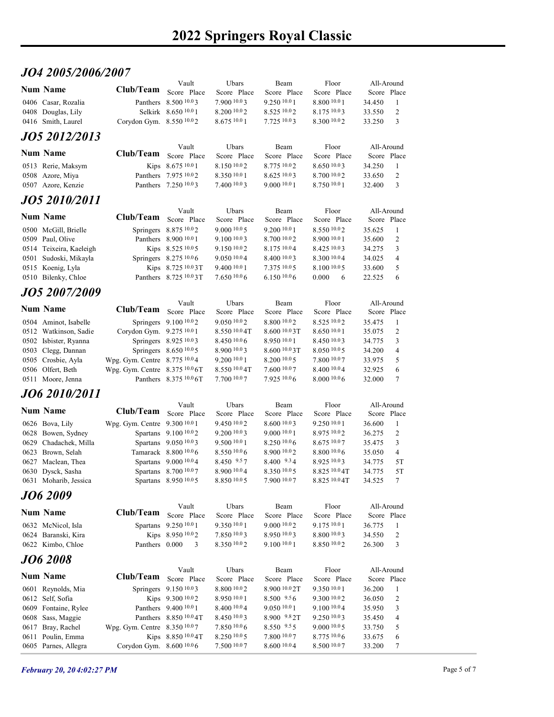## JO4 2005/2006/2007

| JO4 2005/2006/2007                             |                                                                |                                                          |                               |                                  |                               |                           |                   |  |
|------------------------------------------------|----------------------------------------------------------------|----------------------------------------------------------|-------------------------------|----------------------------------|-------------------------------|---------------------------|-------------------|--|
| <b>Num Name</b>                                | Club/Team                                                      | Vault<br>Score Place                                     | Ubars<br>Score Place          | Beam<br>Score Place              | Floor<br>Score Place          | All-Around<br>Score Place |                   |  |
| 0406 Casar, Rozalia<br>0408 Douglas, Lily      |                                                                | Panthers 8.500 10.03<br>Selkirk 8.650 10.0 1             | 7.900 10.03<br>8.200 10.0 2   | 9.250 10.0 1<br>8.525 10.02      | 8.800 10.0 1<br>8.175 10.03   | 34.450<br>33.550          | -1<br>2           |  |
| 0416 Smith, Laurel                             | Corydon Gym. 8.550 10.02                                       |                                                          | 8.67510.01                    | 7.725 10.03                      | 8.300 10.02                   | 33.250                    | 3                 |  |
| JO5 2012/2013                                  |                                                                |                                                          |                               |                                  |                               |                           |                   |  |
| <b>Num Name</b>                                | Club/Team                                                      | Vault<br>Score Place                                     | Ubars<br>Score Place          | Beam<br>Score Place              | Floor<br>Score Place          | All-Around<br>Score Place |                   |  |
| 0513 Rerie, Maksym                             |                                                                | Kips 8.675 10.0 1                                        | 8.150 10.02                   | 8.775 10.02                      | 8.650 10.03                   | 34.250                    | -1                |  |
| 0508 Azore, Miya<br>0507 Azore, Kenzie         |                                                                | Panthers 7.975 10.02<br>Panthers 7.250 10.03             | 8.350 10.0 1<br>7.400 10.0 3  | 8.625 10.03<br>9.000 10.0 1      | 8.700 10.02<br>8.750 10.01    | 33.650<br>32.400          | 2<br>3            |  |
| JO5 2010/2011                                  |                                                                |                                                          |                               |                                  |                               |                           |                   |  |
| <b>Num Name</b>                                | Club/Team                                                      | Vault<br>Score Place                                     | Ubars<br>Score Place          | Beam<br>Score Place              | Floor<br>Score Place          | All-Around<br>Score Place |                   |  |
| 0500 McGill, Brielle                           |                                                                | Springers 8.875 10.02                                    | 9.00010005                    | 9.200 10.0 1                     | 8.550 10.02                   | 35.625                    | -1                |  |
| 0509 Paul, Olive<br>0514 Teixeira, Kaeleigh    |                                                                | Panthers 8.900 10.0 1<br>Kips 8.525 10.0 5               | 9.100 10.0 3<br>9.150 10.02   | 8.700 10.02<br>8.175 10.04       | 8.900 10.0 1<br>8.425 10.03   | 35.600<br>34.275          | 2<br>3            |  |
| 0501 Sudoski, Mikayla                          |                                                                | Springers 8.275 10.0 6                                   | 9.050 10.04                   | 8.400 10.03                      | 8.300 10.04                   | 34.025                    | $\overline{4}$    |  |
| 0515 Koenig, Lyla<br>0510 Bilenky, Chloe       |                                                                | Kips 8.725 10.03T<br>Panthers 8.725 10.0 3T              | 9.400 10.0 1<br>7.650 10.0 6  | 7.375 10.0 5<br>6.150 10.0 6     | 8.100 10.0 5<br>0.000 6       | 33.600<br>22.525          | 5<br>6            |  |
| <b>JO5 2007/2009</b>                           |                                                                |                                                          |                               |                                  |                               |                           |                   |  |
| <b>Num Name</b>                                | Club/Team Score Place                                          | Vault                                                    | Ubars<br>Score Place          | Beam<br>Score Place              | Floor<br>Score Place          | All-Around<br>Score Place |                   |  |
| 0504 Aminot, Isabelle                          |                                                                | Springers 9.100 10.02                                    | 9.050 10.02                   | 8.800 10.02                      | 8.525 10.02                   | 35.475                    | $\mathbf{1}$      |  |
| 0512 Watkinson, Sadie<br>0502 Isbister, Ryanna | Corydon Gym. 9.275 10.01                                       | Springers 8.925 10.03                                    | 8.550 10.0 4T<br>8.450 10.0 6 | 8.600 10.0 3T<br>8.950 10.01     | 8.650 10.0 1<br>8.450 10.03   | 35.075<br>34.775          | 2<br>$\mathbf{3}$ |  |
| 0503 Clegg, Dannan                             |                                                                | Springers 8.650 10.0 5                                   | 8.900 10.0 3                  | 8.600 10.0 3T                    | 8.050 10.05                   | 34.200                    | 4                 |  |
| 0505 Crosbie, Ayla<br>0506 Olfert, Beth        | Wpg. Gym. Centre 8.775 10.04<br>Wpg. Gym. Centre 8.375 10.0 6T |                                                          | 9.200 10.0 1<br>8.550 10.0 4T | 8.200 10.0 5<br>7.600 10.07      | 7.800 10.07<br>8.400 10.04    | 33.975<br>32.925          | 5<br>6            |  |
| 0511 Moore, Jenna                              |                                                                | Panthers 8.375 10.0 6T                                   | 7.700 10.07                   | 7.925 10.06                      | 8.0001006                     | 32.000                    | $7\phantom{.0}$   |  |
| JO6 2010/2011                                  |                                                                |                                                          |                               |                                  |                               |                           |                   |  |
| <b>Num Name</b>                                | Club/Team Score Place                                          | Vault                                                    | Ubars<br>Score Place          | Beam<br>Score Place              | Floor<br>Score Place          | All-Around<br>Score Place |                   |  |
| 0626 Bova, Lily                                | Wpg. Gym. Centre 9.300 10.0 1                                  |                                                          | 9.450 10.02<br>$9.200\,10.03$ | 8.600 10.03<br>$9.000\;^{10.0}1$ | 9.250 10.01                   | 36.600                    | -1                |  |
| 0628 Bowen, Sydney<br>0629 Chadachek, Milla    |                                                                | Spartans 9.100 <sup>10.0</sup> 2<br>Spartans 9.050 10.03 | 9.500 10.0 1                  | 8.250 10.06                      | $8.975\,10.02$<br>8.675 10.07 | 36.275<br>35.475          | 2<br>3            |  |
| 0623 Brown, Selah<br>0627 Maclean, Thea        |                                                                | Tamarack 8.800 10.0 6<br>Spartans 9.000 10.04            | $8.550\,10.06$<br>8.450 9.57  | 8.900 10.02<br>8.400 9.34        | $8.800\ 10.06$<br>8.925 10.03 | 35.050<br>34.775          | 4<br>5T           |  |
| 0630 Dysck, Sasha                              |                                                                | Spartans 8.700 10.07                                     | 8.900 10.0 4                  | $8.350\ 10.05$                   | 8.825 10.0 4T                 | 34.775                    | 5T                |  |
| 0631 Moharib, Jessica                          |                                                                | Spartans 8.950 10.05                                     | 8.850 10.0 5                  | 7.900 10.07                      | 8.825 10.0 4T                 | 34.525                    | $\tau$            |  |
| JO6 2009                                       |                                                                | Vault                                                    | Ubars                         | Beam                             | Floor                         | All-Around                |                   |  |
| <b>Num Name</b>                                | Club/Team                                                      | Score Place                                              | Score Place                   | Score Place                      | Score Place                   | Score Place               |                   |  |
| 0632 McNicol, Isla<br>0624 Baranski, Kira      |                                                                | Spartans 9.250 10.0 1<br>Kips 8.950 10.02                | 9.350 10.0 1<br>7.850 10.03   | 9.000 10.02<br>8.950 10.03       | 9.175 10.0 1<br>8.800 10.03   | 36.775<br>34.550          | $\mathbf{1}$<br>2 |  |
| 0622 Kimbo, Chloe                              |                                                                | Panthers 0.000 3                                         | 8.350 10.02                   | 9.100 10.0 1                     | 8.850 10.02                   | 26.300                    | $\overline{3}$    |  |
| <b>JO6 2008</b>                                |                                                                |                                                          |                               |                                  |                               |                           |                   |  |
| <b>Num Name</b>                                | Club/Team                                                      | Vault<br>Score Place                                     | Ubars<br>Score Place          | Beam<br>Score Place              | Floor<br>Score Place          | All-Around<br>Score Place |                   |  |
| 0601 Reynolds, Mia                             |                                                                | Springers 9.150 10.03                                    | 8.800 10.0 2                  | 8.900 10.0 2T                    | 9.350 10.0 1                  | 36.200                    | -1                |  |
| 0612 Self, Sofia<br>0609 Fontaine, Rylee       |                                                                | Kips 9.300 10.02<br>Panthers 9.400 10.0 1                | 8.950 10.0 1<br>8.400 10.0 4  | $8.500 \t .9.56$<br>9.050 10.01  | 9.300 10.02<br>9.100 10.04    | 36.050<br>35.950          | 2<br>$\mathbf{3}$ |  |
| 0608 Sass, Maggie                              |                                                                | Panthers 8.850 10.0 4T                                   | 8.450 10.03<br>7.850 10.0 6   | 8.900 9.8 2T<br>8.550 9.55       | 9.250 10.03<br>9.000 10.0 5   | 35.450                    | $\overline{4}$    |  |
| 0617 Bray, Rachel<br>0611 Poulin, Emma         | Wpg. Gym. Centre 8.350 10.07                                   | Kips 8.850 10.0 4T                                       | 8.250 10.0 5                  | 7.800 10.07                      | 8.775 10.06                   | 33.750<br>33.675          | 5<br>6            |  |
| 0605 Parnes, Allegra                           | Corydon Gym. 8.600 10.06                                       |                                                          | 7.500 10.07                   | 8.600 10.04                      | 8.500 10.07                   | 33.200                    | $\overline{7}$    |  |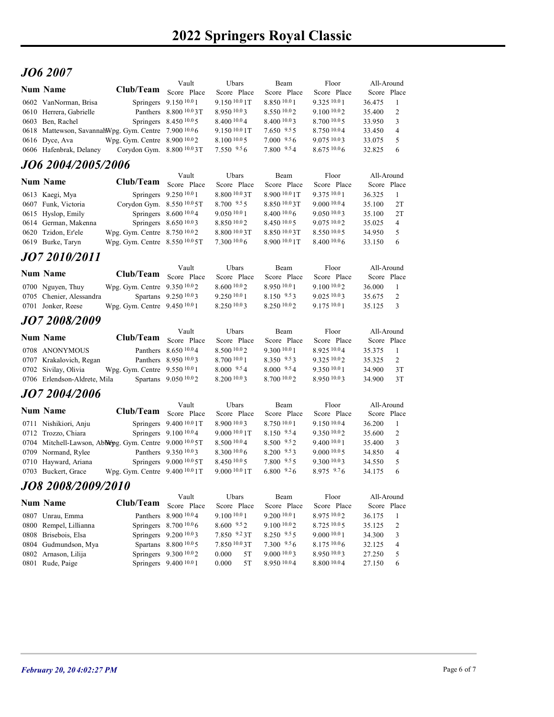# JO6 2007

| <b>JO6 2007</b>                                                        |                                                                |                                                              |                                          |                                 |                               |                           |                         |  |
|------------------------------------------------------------------------|----------------------------------------------------------------|--------------------------------------------------------------|------------------------------------------|---------------------------------|-------------------------------|---------------------------|-------------------------|--|
| <b>Num Name</b>                                                        |                                                                | Vault                                                        | Ubars                                    | Beam                            | Floor                         | All-Around                |                         |  |
| 0602 VanNorman, Brisa                                                  | Club/Team Score Place                                          | Springers 9.150 10.0 1                                       | Score Place<br>9.150 10.0 1T             | Score Place<br>8.850 10.0 1     | Score Place<br>9.325 10.0 1   | Score Place<br>36.475     | -1                      |  |
| 0610 Herrera, Gabrielle                                                |                                                                | Panthers 8.800 10.03T                                        | 8.950 10.03                              | 8.550 10.02                     | 9.100 10.02                   | 35.400                    | 2                       |  |
| 0603 Ben, Rachel                                                       |                                                                | Springers 8.450 10.0 5                                       | 8.400 10.0 4<br>9.150 10.0 1T            | 8.400 10.03                     | 8.700 10.0 5<br>8.750 10.04   | 33.950                    | 3                       |  |
| 0618 Mattewson, SavannahWpg. Gym. Centre 7.900 10.06<br>0616 Dyce, Ava | Wpg. Gym. Centre 8.900 10.02                                   |                                                              | 8.100 10.0 5                             | $7.650$ $9.55$<br>$7.000\,9.56$ | 9.075 10.03                   | 33.450<br>33.075          | 4<br>5                  |  |
| 0606 Hafenbrak, Delaney                                                | Corydon Gym. 8.800 10.03T                                      |                                                              | 7.550 9.56                               | 7.800 9.54                      | 8.675 10.06                   | 32.825                    | 6                       |  |
| <i><b>JO6 2004/2005/2006</b></i>                                       |                                                                |                                                              |                                          |                                 |                               |                           |                         |  |
| <b>Num Name</b>                                                        | Club/Team                                                      | Vault<br>Score Place                                         | Ubars<br>Score Place                     | Beam<br>Score Place             | Floor<br>Score Place          | All-Around<br>Score Place |                         |  |
| 0613 Kaegi, Mya                                                        |                                                                | Springers 9.250 10.0 1                                       | 8.800 10.0 3T                            | 8.900 10.0 1T                   | 9.375 10.0 1                  | 36.325                    | -1                      |  |
| 0607 Funk, Victoria<br>0615 Hyslop, Emily                              | Corydon Gym. 8.550 10.0 5T                                     | Springers 8.600 10.0 4                                       | $8.700$ $9.55$<br>9.050 10.0 1           | 8.850 10.0 3T<br>8.40010.06     | 9.000 10.04<br>9.0501003      | 35.100<br>35.100          | 2T<br>2T                |  |
| 0614 German, Makenna                                                   |                                                                | Springers 8.650 10.03                                        | 8.850 10.02                              | $8.450\ 10.05$                  | 9.075 10.02                   | 35.025                    | 4                       |  |
| 0620 Tzidon, Er'ele                                                    | Wpg. Gym. Centre 8.750 10.02<br>Wpg. Gym. Centre 8.550 10.0 5T |                                                              | 8.800 10.0 3T<br>7.300 10.0 6            | 8.850 10.03T<br>8.900 10.0 1T   | 8.550 10.0 5<br>8.400 10.0 6  | 34.950<br>33.150          | 5<br>6                  |  |
| 0619 Burke, Taryn                                                      |                                                                |                                                              |                                          |                                 |                               |                           |                         |  |
| JO7 2010/2011                                                          |                                                                | Vault                                                        | Ubars                                    | Beam                            | Floor                         | All-Around                |                         |  |
| Num Name                                                               | Club/Team Score Place                                          |                                                              | Score Place                              | Score Place                     | Score Place                   | Score Place               |                         |  |
| 0700 Nguyen, Thuy<br>0705 Chenier, Alessandra                          | Wpg. Gym. Centre 9.350 10.02                                   | Spartans 9.250 10.03                                         | 8.60010.02<br>9.250 10.0 1               | 8.950 10.01<br>8.150 9.53       | 9.100 10.02<br>9.0251003      | 36.000<br>35.675          | - 1<br>2                |  |
| 0701 Jonker, Reese                                                     | Wpg. Gym. Centre 9.450 10.0 1                                  |                                                              | 8.250 10.03                              | 8.250 10.02                     | 9.175 10.0 1                  | 35.125                    | $\overline{\mathbf{3}}$ |  |
| JO7 2008/2009                                                          |                                                                |                                                              |                                          |                                 |                               |                           |                         |  |
| <b>Num Name</b>                                                        |                                                                | Vault                                                        | Ubars                                    | Beam                            | Floor                         | All-Around                |                         |  |
| 0708 ANONYMOUS                                                         | Club/Team Score Place                                          | Panthers 8.650 10.0 4                                        | Score Place<br>8.500 10.0 2              | Score Place<br>9.300 10.0 1     | Score Place<br>8.925 10.04    | Score Place<br>35.375     | -1                      |  |
| 0707 Krakalovich, Regan                                                |                                                                | Panthers 8.950 10.03                                         | 8.700 10.0 1                             | 8.350 9.53                      | 9.325 10.02                   | 35.325                    | 2                       |  |
| 0702 Sivilay, Olivia                                                   | Wpg. Gym. Centre 9.550 10.0 1                                  |                                                              | $8.000\text{ }^{9.5}4$                   | 8.000 9.54<br>8.70010.02        | 9.350 10.0 1                  | 34.900                    | 3T                      |  |
| 0706 Erlendson-Aldrete, Mila                                           |                                                                | Spartans 9.050 10.02                                         | 8.200 10.0 3                             |                                 | 8.950 10.03                   | 34.900                    | 3T                      |  |
| JO7 2004/2006                                                          |                                                                | Vault                                                        | Ubars                                    | Beam                            | Floor                         | All-Around                |                         |  |
| <b>Num Name</b>                                                        | Club/Team Score Place                                          |                                                              | Score Place                              | Score Place                     | Score Place                   | Score Place               |                         |  |
| 0711 Nishikiori, Anju<br>0712 Trozzo, Chiara                           |                                                                | Springers 9.400 10.0 1T<br>Springers 9.100 <sup>10.0</sup> 4 | 8.900 10.03<br>9.000 <sup>10.0</sup> 1T  | 8.750 10.01<br>8.150 9.54       | 9.150 10.04<br>9.350 10.02    | 36.200<br>35.600          | -1<br>2                 |  |
| 0704 Mitchell-Lawson, Abblepg. Gym. Centre 9.000 10.0 5T               |                                                                |                                                              | 8.500 10.0 4                             | 8.500 9.52                      | 9.400 10.0 1                  | 35.400                    | 3                       |  |
| 0709 Normand, Rylee                                                    |                                                                | Panthers 9.350 10.03                                         | 8.300 10.0 6                             | 8.200 9.53                      | $9.000\ 10.05$                | 34.850                    | $\overline{4}$          |  |
| 0710 Hayward, Ariana<br>0703 Buckert, Grace                            | Wpg. Gym. Centre 9.400 <sup>10.0</sup> 1T                      | Springers 9.000 10.0 5T                                      | 8.450 10.0 5<br>9.000 <sup>10.0</sup> 1T | 7.800 9.55<br>$6.800$ $9.26$    | 9.300 10.03<br>$8.975$ $9.76$ | 34.550<br>34.175          | 5<br>6                  |  |
| JO8 2008/2009/2010                                                     |                                                                |                                                              |                                          |                                 |                               |                           |                         |  |
|                                                                        |                                                                | Vault                                                        | Ubars                                    | Beam                            | Floor                         | All-Around                |                         |  |
| <b>Num Name</b>                                                        | Club/Team                                                      | Score Place                                                  | Score Place<br>9.100 10.0 1              | Score Place                     | Score Place                   | Score Place               |                         |  |
| 0807 Unrau, Emma<br>0800 Rempel, Lillianna                             |                                                                | Panthers 8.900 10.04<br>Springers 8.700 10.0 6               | 8.600 9.52                               | 9.200 10.0 1<br>9.100 10.02     | 8.975 10.02<br>8.725 10.0 5   | 36.175<br>35.125          | -1<br>$\overline{2}$    |  |
| 0808 Brisebois, Elsa                                                   |                                                                | Springers 9.200 10.03                                        | 7.850 9.23T                              | 8.250 9.55                      | 9.000 10.0 1                  | 34.300                    | $\mathbf{3}$            |  |
| 0804 Gudmundson, Mya<br>0802 Arnason, Lilija                           |                                                                | Spartans 8.800 10.0 5<br>Springers 9.300 10.02               | 7.850 10.0 3T<br>0.000<br>5T             | 7.300 9.56<br>9.000 10.03       | 8.175 10.0 6<br>8.950 10.03   | 32.125<br>27.250          | $\overline{4}$<br>5     |  |
| 0801 Rude, Paige                                                       |                                                                | Springers 9.400 10.0 1                                       | 5T<br>0.000                              | 8.950 10.04                     | 8.800 10.04                   | 27.150                    | 6                       |  |